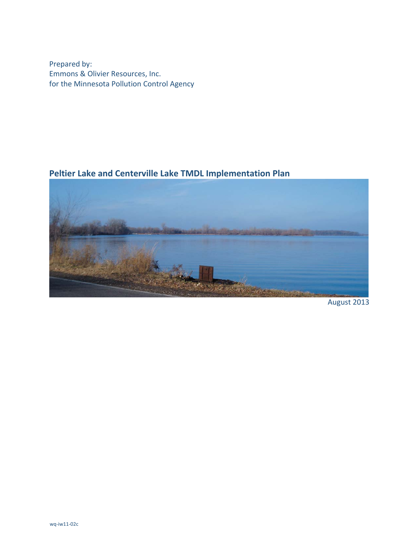Prepared by: Emmons & Olivier Resources, Inc. for the Minnesota Pollution Control Agency

# **Peltier Lake and Centerville Lake TMDL Implementation Plan**



August 2013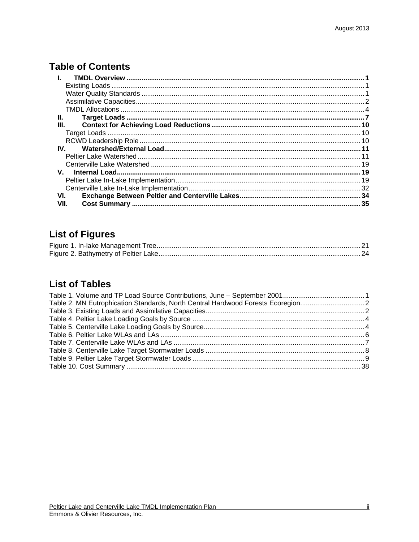# **Table of Contents**

| Ш.           |  |
|--------------|--|
| Ш.           |  |
|              |  |
|              |  |
| IV.          |  |
|              |  |
|              |  |
| $V_{\rm{H}}$ |  |
|              |  |
|              |  |
| VI.          |  |
| VII.         |  |

# **List of Figures**

# **List of Tables**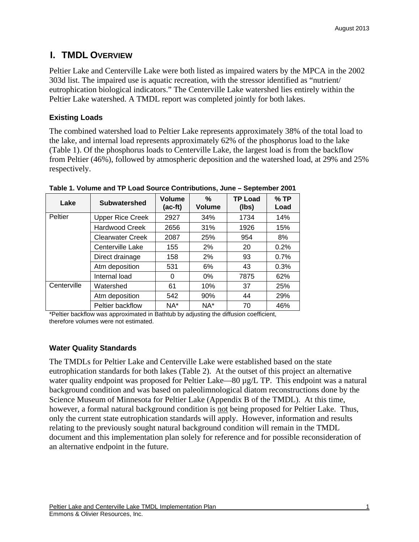# **I. TMDL OVERVIEW**

Peltier Lake and Centerville Lake were both listed as impaired waters by the MPCA in the 2002 303d list. The impaired use is aquatic recreation, with the stressor identified as "nutrient/ eutrophication biological indicators." The Centerville Lake watershed lies entirely within the Peltier Lake watershed. A TMDL report was completed jointly for both lakes.

## **Existing Loads**

The combined watershed load to Peltier Lake represents approximately 38% of the total load to the lake, and internal load represents approximately 62% of the phosphorus load to the lake (Table 1). Of the phosphorus loads to Centerville Lake, the largest load is from the backflow from Peltier (46%), followed by atmospheric deposition and the watershed load, at 29% and 25% respectively.

| Lake        | <b>Subwatershed</b>     | <b>Volume</b><br>(ac-ft) | %<br><b>Volume</b> | <b>TP Load</b><br>(lbs) | $%$ TP<br>Load |
|-------------|-------------------------|--------------------------|--------------------|-------------------------|----------------|
| Peltier     | <b>Upper Rice Creek</b> | 2927                     | 34%                | 1734                    | 14%            |
|             | <b>Hardwood Creek</b>   | 2656                     | 31%                | 1926                    | 15%            |
|             | <b>Clearwater Creek</b> | 2087                     | 25%                | 954                     | 8%             |
|             | Centerville Lake        | 155                      | 2%                 | 20                      | 0.2%           |
|             | Direct drainage         | 158                      | 2%                 | 93                      | 0.7%           |
|             | Atm deposition          | 531                      | 6%                 | 43                      | 0.3%           |
|             | Internal load           | 0                        | $0\%$              | 7875                    | 62%            |
| Centerville | Watershed               | 61                       | 10%                | 37                      | 25%            |
|             | Atm deposition          | 542                      | 90%                | 44                      | 29%            |
|             | Peltier backflow        | $NA^*$                   | $NA^*$             | 70                      | 46%            |

**Table 1. Volume and TP Load Source Contributions, June – September 2001** 

\*Peltier backflow was approximated in Bathtub by adjusting the diffusion coefficient, therefore volumes were not estimated.

## **Water Quality Standards**

The TMDLs for Peltier Lake and Centerville Lake were established based on the state eutrophication standards for both lakes (Table 2). At the outset of this project an alternative water quality endpoint was proposed for Peltier Lake—80 µg/L TP. This endpoint was a natural background condition and was based on paleolimnological diatom reconstructions done by the Science Museum of Minnesota for Peltier Lake (Appendix B of the TMDL). At this time, however, a formal natural background condition is not being proposed for Peltier Lake. Thus, only the current state eutrophication standards will apply. However, information and results relating to the previously sought natural background condition will remain in the TMDL document and this implementation plan solely for reference and for possible reconsideration of an alternative endpoint in the future.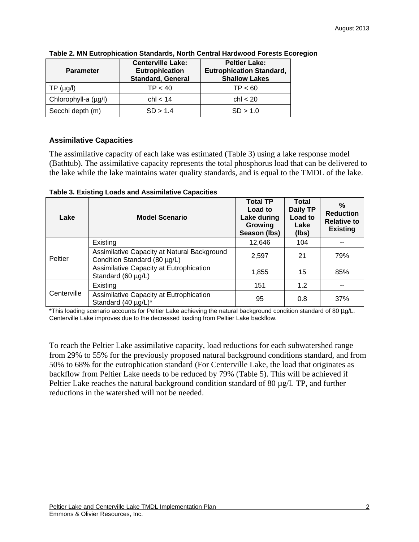| <b>Parameter</b>     | <b>Centerville Lake:</b><br><b>Eutrophication</b><br><b>Standard, General</b> | <b>Peltier Lake:</b><br><b>Eutrophication Standard,</b><br><b>Shallow Lakes</b> |
|----------------------|-------------------------------------------------------------------------------|---------------------------------------------------------------------------------|
| TP (µg/l)            | TP < 40                                                                       | TP < 60                                                                         |
| Chlorophyll-a (µg/l) | ch < 14                                                                       | $\text{ch}$ < 20                                                                |
| Secchi depth (m)     | SD > 1.4                                                                      | SD > 1.0                                                                        |

#### **Table 2. MN Eutrophication Standards, North Central Hardwood Forests Ecoregion**

### **Assimilative Capacities**

The assimilative capacity of each lake was estimated (Table 3) using a lake response model (Bathtub). The assimilative capacity represents the total phosphorus load that can be delivered to the lake while the lake maintains water quality standards, and is equal to the TMDL of the lake.

| Lake        | <b>Model Scenario</b>                                                       | <b>Total TP</b><br>Load to<br>Lake during<br>Growing<br>Season (lbs) | <b>Total</b><br>Daily TP<br>Load to<br>Lake<br>(lbs) | $\%$<br><b>Reduction</b><br><b>Relative to</b><br><b>Existing</b> |
|-------------|-----------------------------------------------------------------------------|----------------------------------------------------------------------|------------------------------------------------------|-------------------------------------------------------------------|
|             | Existing                                                                    | 12,646                                                               | 104                                                  |                                                                   |
| Peltier     | Assimilative Capacity at Natural Background<br>Condition Standard (80 µg/L) | 2,597                                                                | 21                                                   | 79%                                                               |
|             | Assimilative Capacity at Eutrophication<br>Standard (60 µg/L)               | 1,855                                                                | 15                                                   | 85%                                                               |
| Centerville | Existing                                                                    | 151                                                                  | 1.2                                                  |                                                                   |
|             | Assimilative Capacity at Eutrophication<br>Standard (40 µg/L)*              | 95                                                                   | 0.8                                                  | 37%                                                               |

#### **Table 3. Existing Loads and Assimilative Capacities**

\*This loading scenario accounts for Peltier Lake achieving the natural background condition standard of 80 µg/L. Centerville Lake improves due to the decreased loading from Peltier Lake backflow.

To reach the Peltier Lake assimilative capacity, load reductions for each subwatershed range from 29% to 55% for the previously proposed natural background conditions standard, and from 50% to 68% for the eutrophication standard (For Centerville Lake, the load that originates as backflow from Peltier Lake needs to be reduced by 79% (Table 5). This will be achieved if Peltier Lake reaches the natural background condition standard of 80  $\mu$ g/L TP, and further reductions in the watershed will not be needed.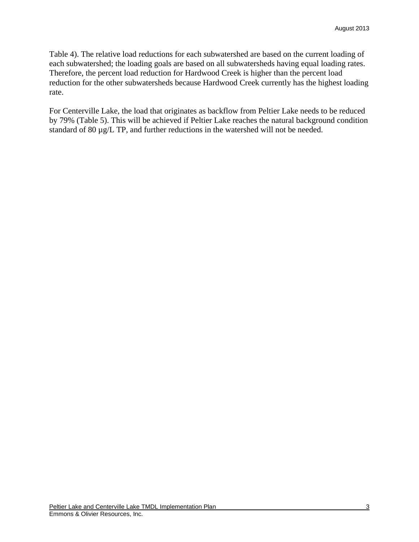Table 4). The relative load reductions for each subwatershed are based on the current loading of each subwatershed; the loading goals are based on all subwatersheds having equal loading rates. Therefore, the percent load reduction for Hardwood Creek is higher than the percent load reduction for the other subwatersheds because Hardwood Creek currently has the highest loading rate.

For Centerville Lake, the load that originates as backflow from Peltier Lake needs to be reduced by 79% (Table 5). This will be achieved if Peltier Lake reaches the natural background condition standard of 80  $\mu$ g/L TP, and further reductions in the watershed will not be needed.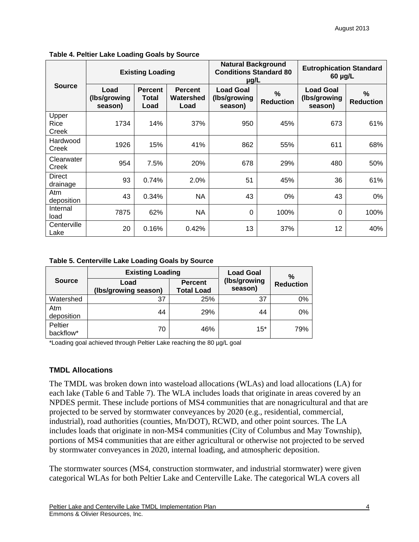|                           | <b>Existing Loading</b>         |                                 |                                     | <b>Natural Background</b><br><b>Conditions Standard 80</b><br>µg/L |                          | <b>Eutrophication Standard</b><br>$60 \mu g/L$ |                       |  |
|---------------------------|---------------------------------|---------------------------------|-------------------------------------|--------------------------------------------------------------------|--------------------------|------------------------------------------------|-----------------------|--|
| <b>Source</b>             | Load<br>(Ibs/growing<br>season) | <b>Percent</b><br>Total<br>Load | <b>Percent</b><br>Watershed<br>Load | <b>Load Goal</b><br>(Ibs/growing<br>season)                        | $\%$<br><b>Reduction</b> | <b>Load Goal</b><br>(Ibs/growing<br>season)    | %<br><b>Reduction</b> |  |
| Upper<br>Rice<br>Creek    | 1734                            | 14%                             | 37%                                 | 950                                                                | 45%                      | 673                                            | 61%                   |  |
| Hardwood<br>Creek         | 1926                            | 15%                             | 41%                                 | 862                                                                | 55%                      | 611                                            | 68%                   |  |
| Clearwater<br>Creek       | 954                             | 7.5%                            | 20%                                 | 678                                                                | 29%                      | 480                                            | 50%                   |  |
| <b>Direct</b><br>drainage | 93                              | 0.74%                           | 2.0%                                | 51                                                                 | 45%                      | 36                                             | 61%                   |  |
| Atm<br>deposition         | 43                              | 0.34%                           | NA                                  | 43                                                                 | 0%                       | 43                                             | $0\%$                 |  |
| Internal<br>load          | 7875                            | 62%                             | <b>NA</b>                           | $\Omega$                                                           | 100%                     | $\Omega$                                       | 100%                  |  |
| Centerville<br>Lake       | 20                              | 0.16%                           | 0.42%                               | 13                                                                 | 37%                      | 12                                             | 40%                   |  |

#### **Table 4. Peltier Lake Loading Goals by Source**

**Table 5. Centerville Lake Loading Goals by Source** 

|                      | <b>Existing Loading</b>      | <b>Load Goal</b>                    | $\%$                    |                  |
|----------------------|------------------------------|-------------------------------------|-------------------------|------------------|
| <b>Source</b>        | Load<br>(Ibs/growing season) | <b>Percent</b><br><b>Total Load</b> | (Ibs/growing<br>season) | <b>Reduction</b> |
| Watershed            | 37                           | 25%                                 | 37                      | 0%               |
| Atm<br>deposition    | 44                           | 29%                                 | 44                      | 0%               |
| Peltier<br>backflow* | 70                           | 46%                                 | $15*$                   | 79%              |

\*Loading goal achieved through Peltier Lake reaching the 80 µg/L goal

#### **TMDL Allocations**

The TMDL was broken down into wasteload allocations (WLAs) and load allocations (LA) for each lake (Table 6 and Table 7). The WLA includes loads that originate in areas covered by an NPDES permit. These include portions of MS4 communities that are nonagricultural and that are projected to be served by stormwater conveyances by 2020 (e.g., residential, commercial, industrial), road authorities (counties, Mn/DOT), RCWD, and other point sources. The LA includes loads that originate in non-MS4 communities (City of Columbus and May Township), portions of MS4 communities that are either agricultural or otherwise not projected to be served by stormwater conveyances in 2020, internal loading, and atmospheric deposition.

The stormwater sources (MS4, construction stormwater, and industrial stormwater) were given categorical WLAs for both Peltier Lake and Centerville Lake. The categorical WLA covers all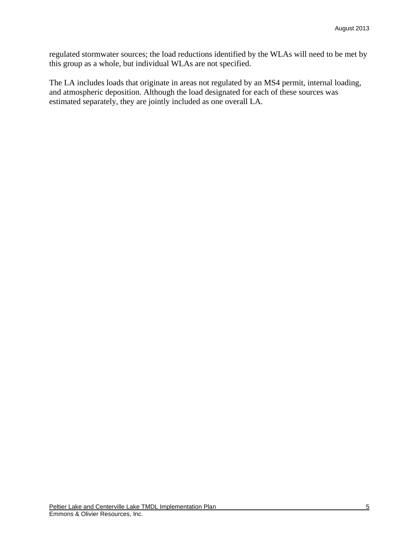regulated stormwater sources; the load reductions identified by the WLAs will need to be met by this group as a whole, but individual WLAs are not specified.

The LA includes loads that originate in areas not regulated by an MS4 permit, internal loading, and atmospheric deposition. Although the load designated for each of these sources was estimated separately, they are jointly included as one overall LA.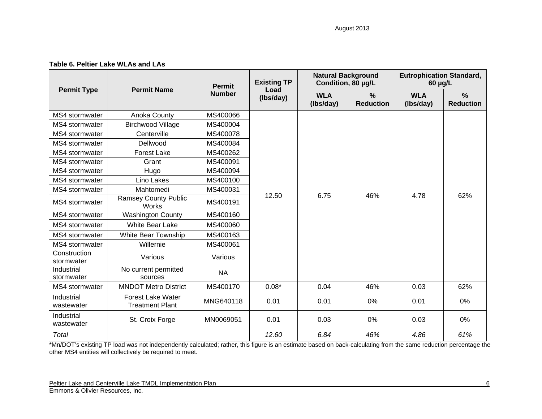| Table 6. Peltier Lake WLAs and LAs |  |  |  |  |  |
|------------------------------------|--|--|--|--|--|
|------------------------------------|--|--|--|--|--|

|                            |                                                    | <b>Permit</b> | <b>Existing TP</b> | <b>Natural Background</b><br>Condition, 80 µg/L |                                   | <b>Eutrophication Standard,</b><br>$60 \mu g/L$ |                                   |  |
|----------------------------|----------------------------------------------------|---------------|--------------------|-------------------------------------------------|-----------------------------------|-------------------------------------------------|-----------------------------------|--|
| <b>Permit Type</b>         | <b>Permit Name</b>                                 | <b>Number</b> | Load<br>(Ibs/day)  | <b>WLA</b><br>(lbs/day)                         | $\frac{0}{0}$<br><b>Reduction</b> | <b>WLA</b><br>(Ibs/day)                         | $\frac{9}{6}$<br><b>Reduction</b> |  |
| MS4 stormwater             | Anoka County                                       | MS400066      |                    |                                                 |                                   |                                                 |                                   |  |
| MS4 stormwater             | <b>Birchwood Village</b>                           | MS400004      |                    |                                                 |                                   |                                                 |                                   |  |
| MS4 stormwater             | Centerville                                        | MS400078      |                    |                                                 |                                   |                                                 |                                   |  |
| MS4 stormwater             | Dellwood                                           | MS400084      | 12.50              |                                                 |                                   |                                                 |                                   |  |
| MS4 stormwater             | <b>Forest Lake</b>                                 | MS400262      |                    |                                                 |                                   |                                                 |                                   |  |
| MS4 stormwater             | Grant                                              | MS400091      |                    |                                                 |                                   |                                                 |                                   |  |
| MS4 stormwater             | Hugo                                               | MS400094      |                    | 6.75                                            | 46%                               | 4.78                                            |                                   |  |
| MS4 stormwater             | Lino Lakes                                         | MS400100      |                    |                                                 |                                   |                                                 | 62%                               |  |
| MS4 stormwater             | Mahtomedi                                          | MS400031      |                    |                                                 |                                   |                                                 |                                   |  |
| MS4 stormwater             | <b>Ramsey County Public</b><br>Works               | MS400191      |                    |                                                 |                                   |                                                 |                                   |  |
| MS4 stormwater             | <b>Washington County</b>                           | MS400160      |                    |                                                 |                                   |                                                 |                                   |  |
| MS4 stormwater             | <b>White Bear Lake</b>                             | MS400060      |                    |                                                 |                                   |                                                 |                                   |  |
| MS4 stormwater             | White Bear Township                                | MS400163      |                    |                                                 |                                   |                                                 |                                   |  |
| MS4 stormwater             | Willernie                                          | MS400061      |                    |                                                 |                                   |                                                 |                                   |  |
| Construction<br>stormwater | Various                                            | Various       |                    |                                                 |                                   |                                                 |                                   |  |
| Industrial<br>stormwater   | No current permitted<br>sources                    | <b>NA</b>     |                    |                                                 |                                   |                                                 |                                   |  |
| MS4 stormwater             | <b>MNDOT Metro District</b>                        | MS400170      | $0.08*$            | 0.04                                            | 46%                               | 0.03                                            | 62%                               |  |
| Industrial<br>wastewater   | <b>Forest Lake Water</b><br><b>Treatment Plant</b> | MNG640118     | 0.01               | 0.01                                            | 0%                                | 0.01                                            | 0%                                |  |
| Industrial<br>wastewater   | St. Croix Forge                                    | MN0069051     | 0.01               | 0.03                                            | $0\%$                             | 0.03                                            | $0\%$                             |  |
| Total                      |                                                    |               | 12.60              | 6.84                                            | 46%                               | 4.86                                            | 61%                               |  |

\*Mn/DOT's existing TP load was not independently calculated; rather, this figure is an estimate based on back-calculating from the same reduction percentage the other MS4 entities will collectively be required to meet.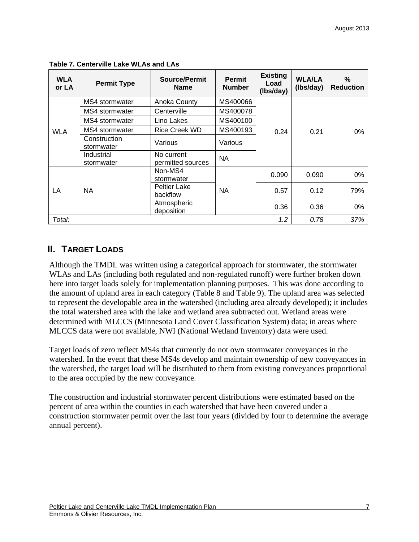| <b>WLA</b><br>or LA | <b>Permit Type</b>                           | Source/Permit<br><b>Name</b>    | <b>Permit</b><br><b>Number</b> | <b>Existing</b><br>Load<br>(Ibs/day) | <b>WLA/LA</b><br>(Ibs/day) | %<br><b>Reduction</b> |
|---------------------|----------------------------------------------|---------------------------------|--------------------------------|--------------------------------------|----------------------------|-----------------------|
|                     | MS4 stormwater                               | Anoka County                    | MS400066                       |                                      |                            |                       |
|                     | MS4 stormwater                               | Centerville                     | MS400078                       |                                      |                            |                       |
| <b>WLA</b>          | MS4 stormwater                               | Lino Lakes                      | MS400100                       |                                      |                            |                       |
|                     | MS4 stormwater                               | <b>Rice Creek WD</b>            | MS400193                       | 0.24                                 | 0.21                       | $0\%$                 |
|                     | Construction<br>stormwater                   | Various                         | Various                        |                                      |                            |                       |
|                     | Industrial<br>stormwater                     | No current<br>permitted sources | <b>NA</b>                      |                                      |                            |                       |
|                     |                                              | Non-MS4<br>stormwater           |                                | 0.090                                | 0.090                      | 0%                    |
| LA                  | <b>Peltier Lake</b><br><b>NA</b><br>backflow |                                 | <b>NA</b>                      | 0.57                                 | 0.12                       | 79%                   |
|                     |                                              | Atmospheric<br>deposition       |                                | 0.36                                 | 0.36                       | $0\%$                 |
| Total:              |                                              |                                 |                                | 1.2                                  | 0.78                       | 37%                   |

**Table 7. Centerville Lake WLAs and LAs** 

## **II. TARGET LOADS**

Although the TMDL was written using a categorical approach for stormwater, the stormwater WLAs and LAs (including both regulated and non-regulated runoff) were further broken down here into target loads solely for implementation planning purposes. This was done according to the amount of upland area in each category (Table 8 and Table 9). The upland area was selected to represent the developable area in the watershed (including area already developed); it includes the total watershed area with the lake and wetland area subtracted out. Wetland areas were determined with MLCCS (Minnesota Land Cover Classification System) data; in areas where MLCCS data were not available, NWI (National Wetland Inventory) data were used.

Target loads of zero reflect MS4s that currently do not own stormwater conveyances in the watershed. In the event that these MS4s develop and maintain ownership of new conveyances in the watershed, the target load will be distributed to them from existing conveyances proportional to the area occupied by the new conveyance.

The construction and industrial stormwater percent distributions were estimated based on the percent of area within the counties in each watershed that have been covered under a construction stormwater permit over the last four years (divided by four to determine the average annual percent).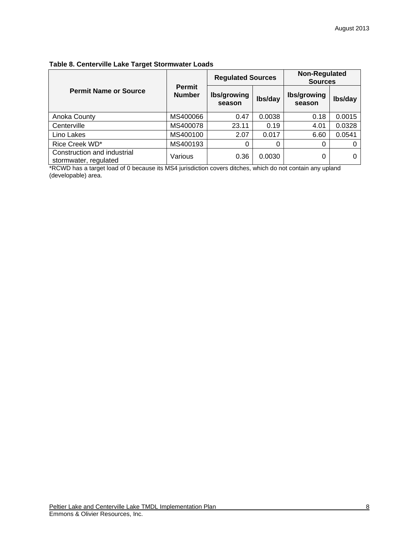#### **Table 8. Centerville Lake Target Stormwater Loads**

|                                                      |                                | <b>Regulated Sources</b> |         | <b>Non-Regulated</b><br><b>Sources</b> |         |  |
|------------------------------------------------------|--------------------------------|--------------------------|---------|----------------------------------------|---------|--|
| <b>Permit Name or Source</b>                         | <b>Permit</b><br><b>Number</b> | Ibs/growing<br>season    | Ibs/day | Ibs/growing<br>season                  | lbs/day |  |
| Anoka County                                         | MS400066                       | 0.47                     | 0.0038  | 0.18                                   | 0.0015  |  |
| Centerville                                          | MS400078                       | 23.11                    | 0.19    | 4.01                                   | 0.0328  |  |
| Lino Lakes                                           | MS400100                       | 2.07                     | 0.017   | 6.60                                   | 0.0541  |  |
| Rice Creek WD*                                       | MS400193                       |                          |         | 0                                      |         |  |
| Construction and industrial<br>stormwater, regulated | Various                        | 0.36                     | 0.0030  | 0                                      |         |  |

\*RCWD has a target load of 0 because its MS4 jurisdiction covers ditches, which do not contain any upland (developable) area.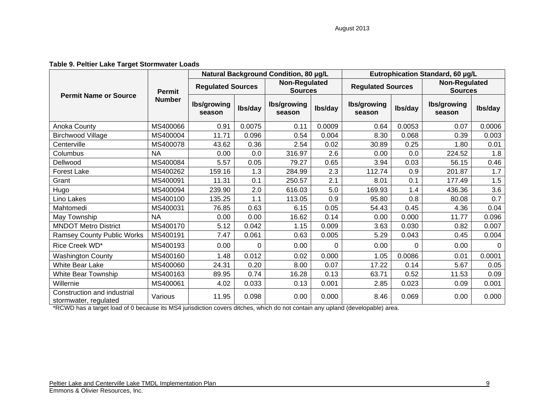#### **Table 9. Peltier Lake Target Stormwater Loads**

|                                                      | <b>Permit</b><br><b>Number</b> | Natural Background Condition, 80 µg/L |         |                                        |          | Eutrophication Standard, 60 µg/L |         |                                 |         |
|------------------------------------------------------|--------------------------------|---------------------------------------|---------|----------------------------------------|----------|----------------------------------|---------|---------------------------------|---------|
| <b>Permit Name or Source</b>                         |                                | <b>Regulated Sources</b>              |         | <b>Non-Regulated</b><br><b>Sources</b> |          | <b>Regulated Sources</b>         |         | Non-Regulated<br><b>Sources</b> |         |
|                                                      |                                | Ibs/growing<br>season                 | Ibs/day | <b>lbs/growing</b><br>season           | Ibs/day  | <b>lbs/growing</b><br>season     | Ibs/day | Ibs/growing<br>season           | Ibs/day |
| Anoka County                                         | MS400066                       | 0.91                                  | 0.0075  | 0.11                                   | 0.0009   | 0.64                             | 0.0053  | 0.07                            | 0.0006  |
| Birchwood Village                                    | MS400004                       | 11.71                                 | 0.096   | 0.54                                   | 0.004    | 8.30                             | 0.068   | 0.39                            | 0.003   |
| Centerville                                          | MS400078                       | 43.62                                 | 0.36    | 2.54                                   | 0.02     | 30.89                            | 0.25    | 1.80                            | 0.01    |
| Columbus                                             | <b>NA</b>                      | 0.00                                  | 0.0     | 316.97                                 | 2.6      | 0.00                             | 0.0     | 224.52                          | 1.8     |
| Dellwood                                             | MS400084                       | 5.57                                  | 0.05    | 79.27                                  | 0.65     | 3.94                             | 0.03    | 56.15                           | 0.46    |
| <b>Forest Lake</b>                                   | MS400262                       | 159.16                                | 1.3     | 284.99                                 | 2.3      | 112.74                           | 0.9     | 201.87                          | 1.7     |
| Grant                                                | MS400091                       | 11.31                                 | 0.1     | 250.57                                 | 2.1      | 8.01                             | 0.1     | 177.49                          | 1.5     |
| Hugo                                                 | MS400094                       | 239.90                                | 2.0     | 616.03                                 | 5.0      | 169.93                           | 1.4     | 436.36                          | 3.6     |
| Lino Lakes                                           | MS400100                       | 135.25                                | 1.1     | 113.05                                 | 0.9      | 95.80                            | 0.8     | 80.08                           | 0.7     |
| Mahtomedi                                            | MS400031                       | 76.85                                 | 0.63    | 6.15                                   | 0.05     | 54.43                            | 0.45    | 4.36                            | 0.04    |
| May Township                                         | <b>NA</b>                      | 0.00                                  | 0.00    | 16.62                                  | 0.14     | 0.00                             | 0.000   | 11.77                           | 0.096   |
| <b>MNDOT Metro District</b>                          | MS400170                       | 5.12                                  | 0.042   | 1.15                                   | 0.009    | 3.63                             | 0.030   | 0.82                            | 0.007   |
| <b>Ramsey County Public Works</b>                    | MS400191                       | 7.47                                  | 0.061   | 0.63                                   | 0.005    | 5.29                             | 0.043   | 0.45                            | 0.004   |
| Rice Creek WD*                                       | MS400193                       | 0.00                                  | 0       | 0.00                                   | $\Omega$ | 0.00                             | 0       | 0.00                            | 0       |
| <b>Washington County</b>                             | MS400160                       | 1.48                                  | 0.012   | 0.02                                   | 0.000    | 1.05                             | 0.0086  | 0.01                            | 0.0001  |
| White Bear Lake                                      | MS400060                       | 24.31                                 | 0.20    | 8.00                                   | 0.07     | 17.22                            | 0.14    | 5.67                            | 0.05    |
| White Bear Township                                  | MS400163                       | 89.95                                 | 0.74    | 16.28                                  | 0.13     | 63.71                            | 0.52    | 11.53                           | 0.09    |
| Willernie                                            | MS400061                       | 4.02                                  | 0.033   | 0.13                                   | 0.001    | 2.85                             | 0.023   | 0.09                            | 0.001   |
| Construction and industrial<br>stormwater, regulated | Various                        | 11.95                                 | 0.098   | 0.00                                   | 0.000    | 8.46                             | 0.069   | 0.00                            | 0.000   |

\*RCWD has a target load of 0 because its MS4 jurisdiction covers ditches, which do not contain any upland (developable) area.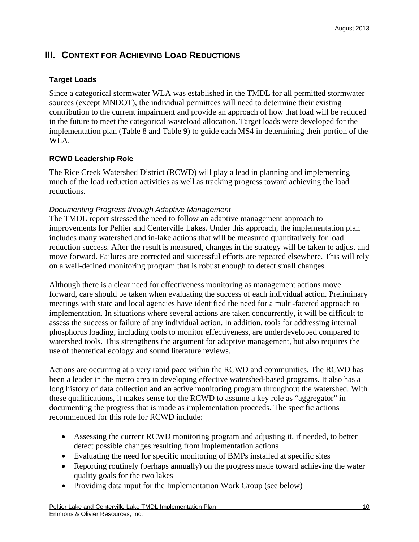## **III. CONTEXT FOR ACHIEVING LOAD REDUCTIONS**

## **Target Loads**

Since a categorical stormwater WLA was established in the TMDL for all permitted stormwater sources (except MNDOT), the individual permittees will need to determine their existing contribution to the current impairment and provide an approach of how that load will be reduced in the future to meet the categorical wasteload allocation. Target loads were developed for the implementation plan (Table 8 and Table 9) to guide each MS4 in determining their portion of the WLA.

## **RCWD Leadership Role**

The Rice Creek Watershed District (RCWD) will play a lead in planning and implementing much of the load reduction activities as well as tracking progress toward achieving the load reductions.

## *Documenting Progress through Adaptive Management*

The TMDL report stressed the need to follow an adaptive management approach to improvements for Peltier and Centerville Lakes. Under this approach, the implementation plan includes many watershed and in-lake actions that will be measured quantitatively for load reduction success. After the result is measured, changes in the strategy will be taken to adjust and move forward. Failures are corrected and successful efforts are repeated elsewhere. This will rely on a well-defined monitoring program that is robust enough to detect small changes.

Although there is a clear need for effectiveness monitoring as management actions move forward, care should be taken when evaluating the success of each individual action. Preliminary meetings with state and local agencies have identified the need for a multi-faceted approach to implementation. In situations where several actions are taken concurrently, it will be difficult to assess the success or failure of any individual action. In addition, tools for addressing internal phosphorus loading, including tools to monitor effectiveness, are underdeveloped compared to watershed tools. This strengthens the argument for adaptive management, but also requires the use of theoretical ecology and sound literature reviews.

Actions are occurring at a very rapid pace within the RCWD and communities. The RCWD has been a leader in the metro area in developing effective watershed-based programs. It also has a long history of data collection and an active monitoring program throughout the watershed. With these qualifications, it makes sense for the RCWD to assume a key role as "aggregator" in documenting the progress that is made as implementation proceeds. The specific actions recommended for this role for RCWD include:

- Assessing the current RCWD monitoring program and adjusting it, if needed, to better detect possible changes resulting from implementation actions
- Evaluating the need for specific monitoring of BMPs installed at specific sites
- Reporting routinely (perhaps annually) on the progress made toward achieving the water quality goals for the two lakes
- Providing data input for the Implementation Work Group (see below)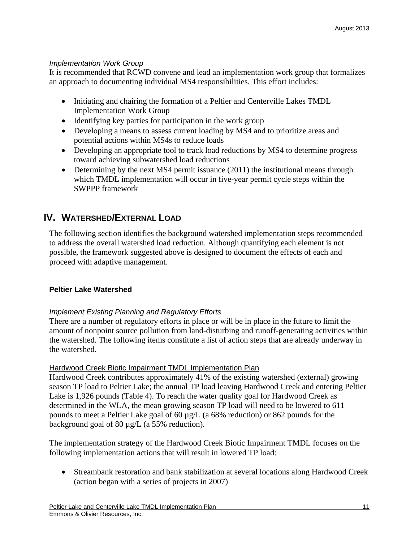## *Implementation Work Group*

It is recommended that RCWD convene and lead an implementation work group that formalizes an approach to documenting individual MS4 responsibilities. This effort includes:

- Initiating and chairing the formation of a Peltier and Centerville Lakes TMDL Implementation Work Group
- Identifying key parties for participation in the work group
- Developing a means to assess current loading by MS4 and to prioritize areas and potential actions within MS4s to reduce loads
- Developing an appropriate tool to track load reductions by MS4 to determine progress toward achieving subwatershed load reductions
- Determining by the next MS4 permit issuance (2011) the institutional means through which TMDL implementation will occur in five-year permit cycle steps within the SWPPP framework

# **IV. WATERSHED/EXTERNAL LOAD**

The following section identifies the background watershed implementation steps recommended to address the overall watershed load reduction. Although quantifying each element is not possible, the framework suggested above is designed to document the effects of each and proceed with adaptive management.

## **Peltier Lake Watershed**

## *Implement Existing Planning and Regulatory Efforts*

There are a number of regulatory efforts in place or will be in place in the future to limit the amount of nonpoint source pollution from land-disturbing and runoff-generating activities within the watershed. The following items constitute a list of action steps that are already underway in the watershed.

## Hardwood Creek Biotic Impairment TMDL Implementation Plan

Hardwood Creek contributes approximately 41% of the existing watershed (external) growing season TP load to Peltier Lake; the annual TP load leaving Hardwood Creek and entering Peltier Lake is 1,926 pounds (Table 4). To reach the water quality goal for Hardwood Creek as determined in the WLA, the mean growing season TP load will need to be lowered to 611 pounds to meet a Peltier Lake goal of 60 µg/L (a 68% reduction) or 862 pounds for the background goal of 80  $\mu$ g/L (a 55% reduction).

The implementation strategy of the Hardwood Creek Biotic Impairment TMDL focuses on the following implementation actions that will result in lowered TP load:

 Streambank restoration and bank stabilization at several locations along Hardwood Creek (action began with a series of projects in 2007)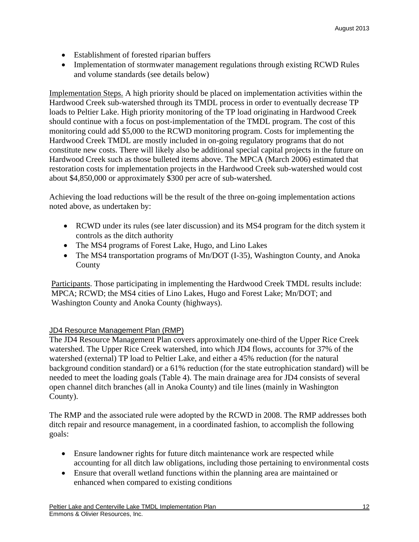- Establishment of forested riparian buffers
- Implementation of stormwater management regulations through existing RCWD Rules and volume standards (see details below)

Implementation Steps. A high priority should be placed on implementation activities within the Hardwood Creek sub-watershed through its TMDL process in order to eventually decrease TP loads to Peltier Lake. High priority monitoring of the TP load originating in Hardwood Creek should continue with a focus on post-implementation of the TMDL program. The cost of this monitoring could add \$5,000 to the RCWD monitoring program. Costs for implementing the Hardwood Creek TMDL are mostly included in on-going regulatory programs that do not constitute new costs. There will likely also be additional special capital projects in the future on Hardwood Creek such as those bulleted items above. The MPCA (March 2006) estimated that restoration costs for implementation projects in the Hardwood Creek sub-watershed would cost about \$4,850,000 or approximately \$300 per acre of sub-watershed.

Achieving the load reductions will be the result of the three on-going implementation actions noted above, as undertaken by:

- RCWD under its rules (see later discussion) and its MS4 program for the ditch system it controls as the ditch authority
- The MS4 programs of Forest Lake, Hugo, and Lino Lakes
- The MS4 transportation programs of Mn/DOT (I-35), Washington County, and Anoka County

Participants. Those participating in implementing the Hardwood Creek TMDL results include: MPCA; RCWD; the MS4 cities of Lino Lakes, Hugo and Forest Lake; Mn/DOT; and Washington County and Anoka County (highways).

#### JD4 Resource Management Plan (RMP)

The JD4 Resource Management Plan covers approximately one-third of the Upper Rice Creek watershed. The Upper Rice Creek watershed, into which JD4 flows, accounts for 37% of the watershed (external) TP load to Peltier Lake, and either a 45% reduction (for the natural background condition standard) or a 61% reduction (for the state eutrophication standard) will be needed to meet the loading goals (Table 4). The main drainage area for JD4 consists of several open channel ditch branches (all in Anoka County) and tile lines (mainly in Washington County).

The RMP and the associated rule were adopted by the RCWD in 2008. The RMP addresses both ditch repair and resource management, in a coordinated fashion, to accomplish the following goals:

- Ensure landowner rights for future ditch maintenance work are respected while accounting for all ditch law obligations, including those pertaining to environmental costs
- Ensure that overall wetland functions within the planning area are maintained or enhanced when compared to existing conditions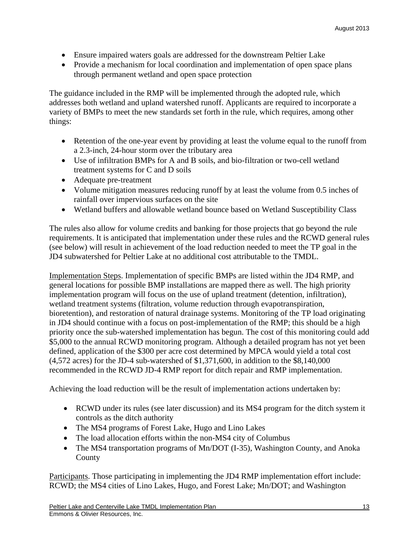- Ensure impaired waters goals are addressed for the downstream Peltier Lake
- Provide a mechanism for local coordination and implementation of open space plans through permanent wetland and open space protection

The guidance included in the RMP will be implemented through the adopted rule, which addresses both wetland and upland watershed runoff. Applicants are required to incorporate a variety of BMPs to meet the new standards set forth in the rule, which requires, among other things:

- Retention of the one-year event by providing at least the volume equal to the runoff from a 2.3-inch, 24-hour storm over the tributary area
- Use of infiltration BMPs for A and B soils, and bio-filtration or two-cell wetland treatment systems for C and D soils
- Adequate pre-treatment
- Volume mitigation measures reducing runoff by at least the volume from 0.5 inches of rainfall over impervious surfaces on the site
- Wetland buffers and allowable wetland bounce based on Wetland Susceptibility Class

The rules also allow for volume credits and banking for those projects that go beyond the rule requirements. It is anticipated that implementation under these rules and the RCWD general rules (see below) will result in achievement of the load reduction needed to meet the TP goal in the JD4 subwatershed for Peltier Lake at no additional cost attributable to the TMDL.

Implementation Steps. Implementation of specific BMPs are listed within the JD4 RMP, and general locations for possible BMP installations are mapped there as well. The high priority implementation program will focus on the use of upland treatment (detention, infiltration), wetland treatment systems (filtration, volume reduction through evapotranspiration, bioretention), and restoration of natural drainage systems. Monitoring of the TP load originating in JD4 should continue with a focus on post-implementation of the RMP; this should be a high priority once the sub-watershed implementation has begun. The cost of this monitoring could add \$5,000 to the annual RCWD monitoring program. Although a detailed program has not yet been defined, application of the \$300 per acre cost determined by MPCA would yield a total cost (4,572 acres) for the JD-4 sub-watershed of \$1,371,600, in addition to the \$8,140,000 recommended in the RCWD JD-4 RMP report for ditch repair and RMP implementation.

Achieving the load reduction will be the result of implementation actions undertaken by:

- RCWD under its rules (see later discussion) and its MS4 program for the ditch system it controls as the ditch authority
- The MS4 programs of Forest Lake, Hugo and Lino Lakes
- The load allocation efforts within the non-MS4 city of Columbus
- The MS4 transportation programs of Mn/DOT (I-35), Washington County, and Anoka County

Participants. Those participating in implementing the JD4 RMP implementation effort include: RCWD; the MS4 cities of Lino Lakes, Hugo, and Forest Lake; Mn/DOT; and Washington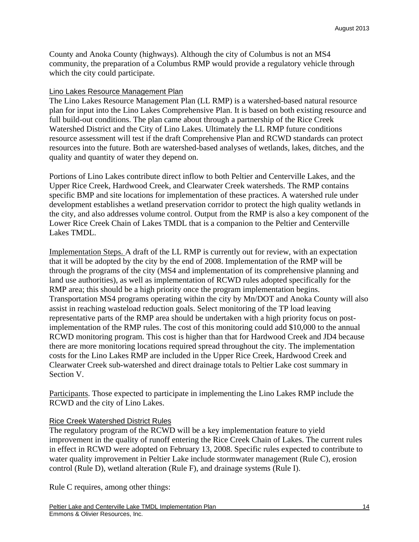County and Anoka County (highways). Although the city of Columbus is not an MS4 community, the preparation of a Columbus RMP would provide a regulatory vehicle through which the city could participate.

#### Lino Lakes Resource Management Plan

The Lino Lakes Resource Management Plan (LL RMP) is a watershed-based natural resource plan for input into the Lino Lakes Comprehensive Plan. It is based on both existing resource and full build-out conditions. The plan came about through a partnership of the Rice Creek Watershed District and the City of Lino Lakes. Ultimately the LL RMP future conditions resource assessment will test if the draft Comprehensive Plan and RCWD standards can protect resources into the future. Both are watershed-based analyses of wetlands, lakes, ditches, and the quality and quantity of water they depend on.

Portions of Lino Lakes contribute direct inflow to both Peltier and Centerville Lakes, and the Upper Rice Creek, Hardwood Creek, and Clearwater Creek watersheds. The RMP contains specific BMP and site locations for implementation of these practices. A watershed rule under development establishes a wetland preservation corridor to protect the high quality wetlands in the city, and also addresses volume control. Output from the RMP is also a key component of the Lower Rice Creek Chain of Lakes TMDL that is a companion to the Peltier and Centerville Lakes TMDL.

Implementation Steps. A draft of the LL RMP is currently out for review, with an expectation that it will be adopted by the city by the end of 2008. Implementation of the RMP will be through the programs of the city (MS4 and implementation of its comprehensive planning and land use authorities), as well as implementation of RCWD rules adopted specifically for the RMP area; this should be a high priority once the program implementation begins. Transportation MS4 programs operating within the city by Mn/DOT and Anoka County will also assist in reaching wasteload reduction goals. Select monitoring of the TP load leaving representative parts of the RMP area should be undertaken with a high priority focus on postimplementation of the RMP rules. The cost of this monitoring could add \$10,000 to the annual RCWD monitoring program. This cost is higher than that for Hardwood Creek and JD4 because there are more monitoring locations required spread throughout the city. The implementation costs for the Lino Lakes RMP are included in the Upper Rice Creek, Hardwood Creek and Clearwater Creek sub-watershed and direct drainage totals to Peltier Lake cost summary in Section V.

Participants. Those expected to participate in implementing the Lino Lakes RMP include the RCWD and the city of Lino Lakes.

#### Rice Creek Watershed District Rules

The regulatory program of the RCWD will be a key implementation feature to yield improvement in the quality of runoff entering the Rice Creek Chain of Lakes. The current rules in effect in RCWD were adopted on February 13, 2008. Specific rules expected to contribute to water quality improvement in Peltier Lake include stormwater management (Rule C), erosion control (Rule D), wetland alteration (Rule F), and drainage systems (Rule I).

Rule C requires, among other things: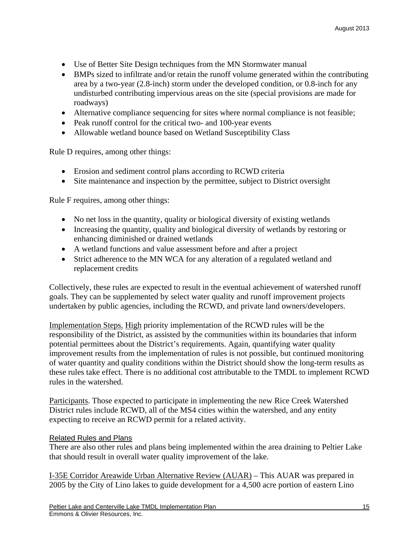- Use of Better Site Design techniques from the MN Stormwater manual
- BMPs sized to infiltrate and/or retain the runoff volume generated within the contributing area by a two-year (2.8-inch) storm under the developed condition, or 0.8-inch for any undisturbed contributing impervious areas on the site (special provisions are made for roadways)
- Alternative compliance sequencing for sites where normal compliance is not feasible;
- Peak runoff control for the critical two- and 100-year events
- Allowable wetland bounce based on Wetland Susceptibility Class

Rule D requires, among other things:

- Erosion and sediment control plans according to RCWD criteria
- Site maintenance and inspection by the permittee, subject to District oversight

Rule F requires, among other things:

- No net loss in the quantity, quality or biological diversity of existing wetlands
- Increasing the quantity, quality and biological diversity of wetlands by restoring or enhancing diminished or drained wetlands
- A wetland functions and value assessment before and after a project
- Strict adherence to the MN WCA for any alteration of a regulated wetland and replacement credits

Collectively, these rules are expected to result in the eventual achievement of watershed runoff goals. They can be supplemented by select water quality and runoff improvement projects undertaken by public agencies, including the RCWD, and private land owners/developers.

Implementation Steps. High priority implementation of the RCWD rules will be the responsibility of the District, as assisted by the communities within its boundaries that inform potential permittees about the District's requirements. Again, quantifying water quality improvement results from the implementation of rules is not possible, but continued monitoring of water quantity and quality conditions within the District should show the long-term results as these rules take effect. There is no additional cost attributable to the TMDL to implement RCWD rules in the watershed.

Participants. Those expected to participate in implementing the new Rice Creek Watershed District rules include RCWD, all of the MS4 cities within the watershed, and any entity expecting to receive an RCWD permit for a related activity.

## Related Rules and Plans

There are also other rules and plans being implemented within the area draining to Peltier Lake that should result in overall water quality improvement of the lake.

I-35E Corridor Areawide Urban Alternative Review (AUAR) – This AUAR was prepared in 2005 by the City of Lino lakes to guide development for a 4,500 acre portion of eastern Lino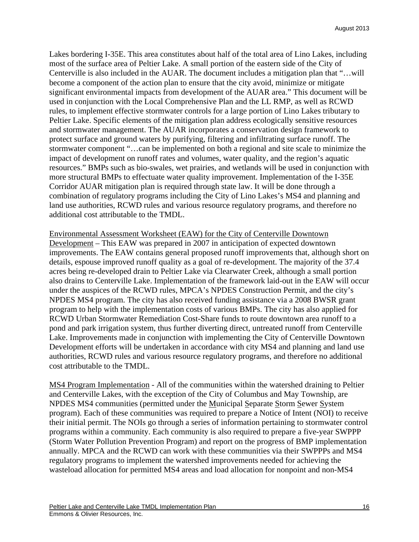Lakes bordering I-35E. This area constitutes about half of the total area of Lino Lakes, including most of the surface area of Peltier Lake. A small portion of the eastern side of the City of Centerville is also included in the AUAR. The document includes a mitigation plan that "…will become a component of the action plan to ensure that the city avoid, minimize or mitigate significant environmental impacts from development of the AUAR area." This document will be used in conjunction with the Local Comprehensive Plan and the LL RMP, as well as RCWD rules, to implement effective stormwater controls for a large portion of Lino Lakes tributary to Peltier Lake. Specific elements of the mitigation plan address ecologically sensitive resources and stormwater management. The AUAR incorporates a conservation design framework to protect surface and ground waters by purifying, filtering and infiltrating surface runoff. The stormwater component "…can be implemented on both a regional and site scale to minimize the impact of development on runoff rates and volumes, water quality, and the region's aquatic resources." BMPs such as bio-swales, wet prairies, and wetlands will be used in conjunction with more structural BMPs to effectuate water quality improvement. Implementation of the I-35E Corridor AUAR mitigation plan is required through state law. It will be done through a combination of regulatory programs including the City of Lino Lakes's MS4 and planning and land use authorities, RCWD rules and various resource regulatory programs, and therefore no additional cost attributable to the TMDL.

Environmental Assessment Worksheet (EAW) for the City of Centerville Downtown Development – This EAW was prepared in 2007 in anticipation of expected downtown improvements. The EAW contains general proposed runoff improvements that, although short on details, espouse improved runoff quality as a goal of re-development. The majority of the 37.4 acres being re-developed drain to Peltier Lake via Clearwater Creek, although a small portion also drains to Centerville Lake. Implementation of the framework laid-out in the EAW will occur under the auspices of the RCWD rules, MPCA's NPDES Construction Permit, and the city's NPDES MS4 program. The city has also received funding assistance via a 2008 BWSR grant program to help with the implementation costs of various BMPs. The city has also applied for RCWD Urban Stormwater Remediation Cost-Share funds to route downtown area runoff to a pond and park irrigation system, thus further diverting direct, untreated runoff from Centerville Lake. Improvements made in conjunction with implementing the City of Centerville Downtown Development efforts will be undertaken in accordance with city MS4 and planning and land use authorities, RCWD rules and various resource regulatory programs, and therefore no additional cost attributable to the TMDL.

MS4 Program Implementation - All of the communities within the watershed draining to Peltier and Centerville Lakes, with the exception of the City of Columbus and May Township, are NPDES MS4 communities (permitted under the Municipal Separate Storm Sewer System program). Each of these communities was required to prepare a Notice of Intent (NOI) to receive their initial permit. The NOIs go through a series of information pertaining to stormwater control programs within a community. Each community is also required to prepare a five-year SWPPP (Storm Water Pollution Prevention Program) and report on the progress of BMP implementation annually. MPCA and the RCWD can work with these communities via their SWPPPs and MS4 regulatory programs to implement the watershed improvements needed for achieving the wasteload allocation for permitted MS4 areas and load allocation for nonpoint and non-MS4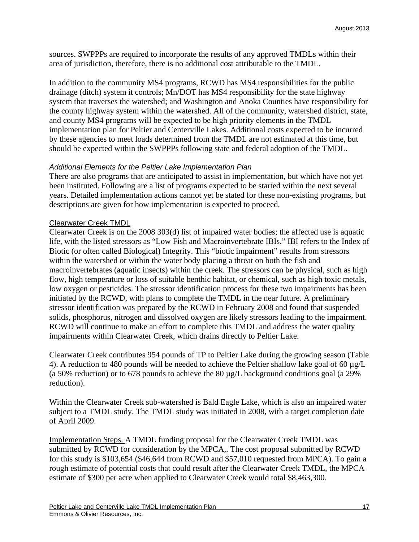sources. SWPPPs are required to incorporate the results of any approved TMDLs within their area of jurisdiction, therefore, there is no additional cost attributable to the TMDL.

In addition to the community MS4 programs, RCWD has MS4 responsibilities for the public drainage (ditch) system it controls; Mn/DOT has MS4 responsibility for the state highway system that traverses the watershed; and Washington and Anoka Counties have responsibility for the county highway system within the watershed. All of the community, watershed district, state, and county MS4 programs will be expected to be high priority elements in the TMDL implementation plan for Peltier and Centerville Lakes. Additional costs expected to be incurred by these agencies to meet loads determined from the TMDL are not estimated at this time, but should be expected within the SWPPPs following state and federal adoption of the TMDL.

### *Additional Elements for the Peltier Lake Implementation Plan*

There are also programs that are anticipated to assist in implementation, but which have not yet been instituted. Following are a list of programs expected to be started within the next several years. Detailed implementation actions cannot yet be stated for these non-existing programs, but descriptions are given for how implementation is expected to proceed.

#### Clearwater Creek TMDL

Clearwater Creek is on the 2008 303(d) list of impaired water bodies; the affected use is aquatic life, with the listed stressors as "Low Fish and Macroinvertebrate IBIs." IBI refers to the Index of Biotic (or often called Biological) Integrity. This "biotic impairment" results from stressors within the watershed or within the water body placing a threat on both the fish and macroinvertebrates (aquatic insects) within the creek. The stressors can be physical, such as high flow, high temperature or loss of suitable benthic habitat, or chemical, such as high toxic metals, low oxygen or pesticides. The stressor identification process for these two impairments has been initiated by the RCWD, with plans to complete the TMDL in the near future. A preliminary stressor identification was prepared by the RCWD in February 2008 and found that suspended solids, phosphorus, nitrogen and dissolved oxygen are likely stressors leading to the impairment. RCWD will continue to make an effort to complete this TMDL and address the water quality impairments within Clearwater Creek, which drains directly to Peltier Lake.

Clearwater Creek contributes 954 pounds of TP to Peltier Lake during the growing season (Table 4). A reduction to 480 pounds will be needed to achieve the Peltier shallow lake goal of 60  $\mu$ g/L (a 50% reduction) or to 678 pounds to achieve the 80  $\mu$ g/L background conditions goal (a 29% reduction).

Within the Clearwater Creek sub-watershed is Bald Eagle Lake, which is also an impaired water subject to a TMDL study. The TMDL study was initiated in 2008, with a target completion date of April 2009.

Implementation Steps. A TMDL funding proposal for the Clearwater Creek TMDL was submitted by RCWD for consideration by the MPCA,. The cost proposal submitted by RCWD for this study is \$103,654 (\$46,644 from RCWD and \$57,010 requested from MPCA). To gain a rough estimate of potential costs that could result after the Clearwater Creek TMDL, the MPCA estimate of \$300 per acre when applied to Clearwater Creek would total \$8,463,300.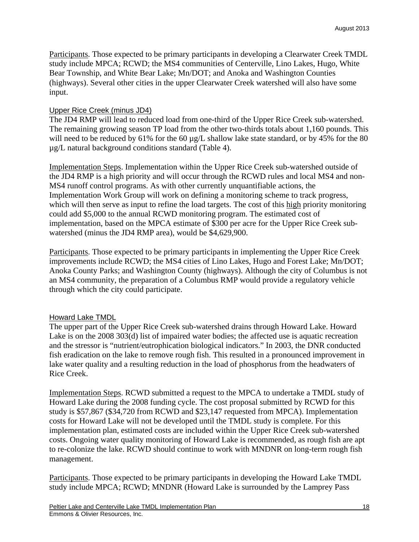Participants. Those expected to be primary participants in developing a Clearwater Creek TMDL study include MPCA; RCWD; the MS4 communities of Centerville, Lino Lakes, Hugo, White Bear Township, and White Bear Lake; Mn/DOT; and Anoka and Washington Counties (highways). Several other cities in the upper Clearwater Creek watershed will also have some input.

### Upper Rice Creek (minus JD4)

The JD4 RMP will lead to reduced load from one-third of the Upper Rice Creek sub-watershed. The remaining growing season TP load from the other two-thirds totals about 1,160 pounds. This will need to be reduced by  $61\%$  for the  $60 \mu g/L$  shallow lake state standard, or by 45% for the 80 µg/L natural background conditions standard (Table 4).

Implementation Steps. Implementation within the Upper Rice Creek sub-watershed outside of the JD4 RMP is a high priority and will occur through the RCWD rules and local MS4 and non-MS4 runoff control programs. As with other currently unquantifiable actions, the Implementation Work Group will work on defining a monitoring scheme to track progress, which will then serve as input to refine the load targets. The cost of this high priority monitoring could add \$5,000 to the annual RCWD monitoring program. The estimated cost of implementation, based on the MPCA estimate of \$300 per acre for the Upper Rice Creek subwatershed (minus the JD4 RMP area), would be \$4,629,900.

Participants. Those expected to be primary participants in implementing the Upper Rice Creek improvements include RCWD; the MS4 cities of Lino Lakes, Hugo and Forest Lake; Mn/DOT; Anoka County Parks; and Washington County (highways). Although the city of Columbus is not an MS4 community, the preparation of a Columbus RMP would provide a regulatory vehicle through which the city could participate.

#### Howard Lake TMDL

The upper part of the Upper Rice Creek sub-watershed drains through Howard Lake. Howard Lake is on the 2008 303(d) list of impaired water bodies; the affected use is aquatic recreation and the stressor is "nutrient/eutrophication biological indicators." In 2003, the DNR conducted fish eradication on the lake to remove rough fish. This resulted in a pronounced improvement in lake water quality and a resulting reduction in the load of phosphorus from the headwaters of Rice Creek.

Implementation Steps. RCWD submitted a request to the MPCA to undertake a TMDL study of Howard Lake during the 2008 funding cycle. The cost proposal submitted by RCWD for this study is \$57,867 (\$34,720 from RCWD and \$23,147 requested from MPCA). Implementation costs for Howard Lake will not be developed until the TMDL study is complete. For this implementation plan, estimated costs are included within the Upper Rice Creek sub-watershed costs. Ongoing water quality monitoring of Howard Lake is recommended, as rough fish are apt to re-colonize the lake. RCWD should continue to work with MNDNR on long-term rough fish management.

Participants. Those expected to be primary participants in developing the Howard Lake TMDL study include MPCA; RCWD; MNDNR (Howard Lake is surrounded by the Lamprey Pass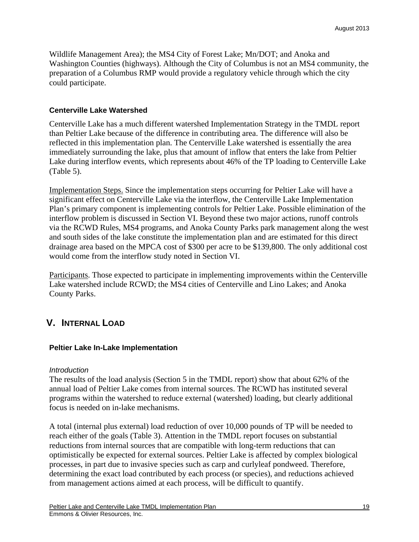Wildlife Management Area); the MS4 City of Forest Lake; Mn/DOT; and Anoka and Washington Counties (highways). Although the City of Columbus is not an MS4 community, the preparation of a Columbus RMP would provide a regulatory vehicle through which the city could participate.

#### **Centerville Lake Watershed**

Centerville Lake has a much different watershed Implementation Strategy in the TMDL report than Peltier Lake because of the difference in contributing area. The difference will also be reflected in this implementation plan. The Centerville Lake watershed is essentially the area immediately surrounding the lake, plus that amount of inflow that enters the lake from Peltier Lake during interflow events, which represents about 46% of the TP loading to Centerville Lake (Table 5).

Implementation Steps. Since the implementation steps occurring for Peltier Lake will have a significant effect on Centerville Lake via the interflow, the Centerville Lake Implementation Plan's primary component is implementing controls for Peltier Lake. Possible elimination of the interflow problem is discussed in Section VI. Beyond these two major actions, runoff controls via the RCWD Rules, MS4 programs, and Anoka County Parks park management along the west and south sides of the lake constitute the implementation plan and are estimated for this direct drainage area based on the MPCA cost of \$300 per acre to be \$139,800. The only additional cost would come from the interflow study noted in Section VI.

Participants. Those expected to participate in implementing improvements within the Centerville Lake watershed include RCWD; the MS4 cities of Centerville and Lino Lakes; and Anoka County Parks.

## **V. INTERNAL LOAD**

#### **Peltier Lake In-Lake Implementation**

#### *Introduction*

The results of the load analysis (Section 5 in the TMDL report) show that about 62% of the annual load of Peltier Lake comes from internal sources. The RCWD has instituted several programs within the watershed to reduce external (watershed) loading, but clearly additional focus is needed on in-lake mechanisms.

A total (internal plus external) load reduction of over 10,000 pounds of TP will be needed to reach either of the goals (Table 3). Attention in the TMDL report focuses on substantial reductions from internal sources that are compatible with long-term reductions that can optimistically be expected for external sources. Peltier Lake is affected by complex biological processes, in part due to invasive species such as carp and curlyleaf pondweed. Therefore, determining the exact load contributed by each process (or species), and reductions achieved from management actions aimed at each process, will be difficult to quantify.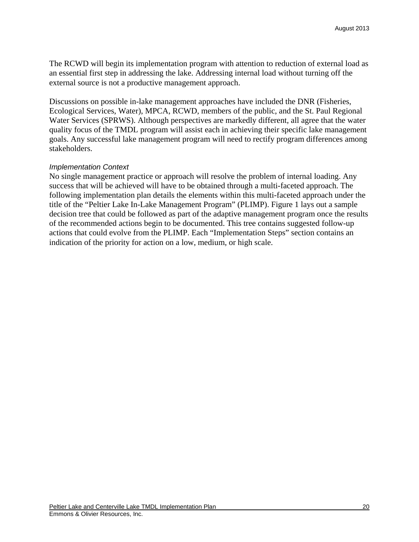The RCWD will begin its implementation program with attention to reduction of external load as an essential first step in addressing the lake. Addressing internal load without turning off the external source is not a productive management approach.

Discussions on possible in-lake management approaches have included the DNR (Fisheries, Ecological Services, Water), MPCA, RCWD, members of the public, and the St. Paul Regional Water Services (SPRWS). Although perspectives are markedly different, all agree that the water quality focus of the TMDL program will assist each in achieving their specific lake management goals. Any successful lake management program will need to rectify program differences among stakeholders.

#### *Implementation Context*

No single management practice or approach will resolve the problem of internal loading. Any success that will be achieved will have to be obtained through a multi-faceted approach. The following implementation plan details the elements within this multi-faceted approach under the title of the "Peltier Lake In-Lake Management Program" (PLIMP). Figure 1 lays out a sample decision tree that could be followed as part of the adaptive management program once the results of the recommended actions begin to be documented. This tree contains suggested follow-up actions that could evolve from the PLIMP. Each "Implementation Steps" section contains an indication of the priority for action on a low, medium, or high scale.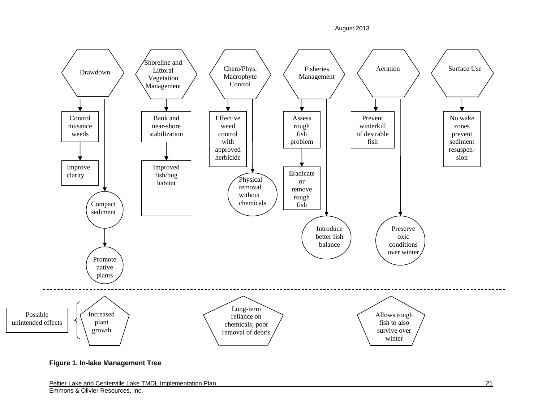August 2013



**Figure 1. In-lake Management Tree**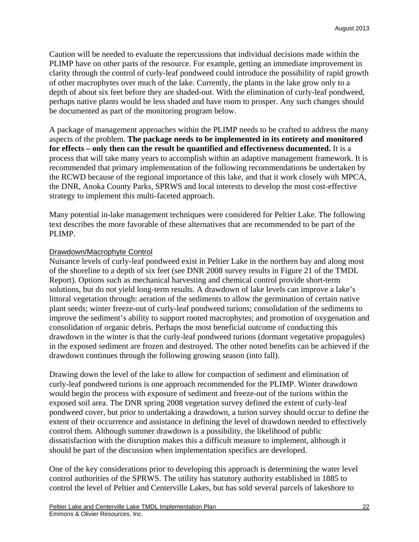Caution will be needed to evaluate the repercussions that individual decisions made within the PLIMP have on other parts of the resource. For example, getting an immediate improvement in clarity through the control of curly-leaf pondweed could introduce the possibility of rapid growth of other macrophytes over much of the lake. Currently, the plants in the lake grow only to a depth of about six feet before they are shaded-out. With the elimination of curly-leaf pondweed, perhaps native plants would be less shaded and have room to prosper. Any such changes should be documented as part of the monitoring program below.

A package of management approaches within the PLIMP needs to be crafted to address the many aspects of the problem. **The package needs to be implemented in its entirety and monitored for effects – only then can the result be quantified and effectiveness documented.** It is a process that will take many years to accomplish within an adaptive management framework. It is recommended that primary implementation of the following recommendations be undertaken by the RCWD because of the regional importance of this lake, and that it work closely with MPCA, the DNR, Anoka County Parks, SPRWS and local interests to develop the most cost-effective strategy to implement this multi-faceted approach.

Many potential in-lake management techniques were considered for Peltier Lake. The following text describes the more favorable of these alternatives that are recommended to be part of the PLIMP.

### Drawdown/Macrophyte Control

Nuisance levels of curly-leaf pondweed exist in Peltier Lake in the northern bay and along most of the shoreline to a depth of six feet (see DNR 2008 survey results in Figure 21 of the TMDL Report). Options such as mechanical harvesting and chemical control provide short-term solutions, but do not yield long-term results. A drawdown of lake levels can improve a lake's littoral vegetation through: aeration of the sediments to allow the germination of certain native plant seeds; winter freeze-out of curly-leaf pondweed turions; consolidation of the sediments to improve the sediment's ability to support rooted macrophytes; and promotion of oxygenation and consolidation of organic debris. Perhaps the most beneficial outcome of conducting this drawdown in the winter is that the curly-leaf pondweed turions (dormant vegetative propagules) in the exposed sediment are frozen and destroyed. The other noted benefits can be achieved if the drawdown continues through the following growing season (into fall).

Drawing down the level of the lake to allow for compaction of sediment and elimination of curly-leaf pondweed turions is one approach recommended for the PLIMP. Winter drawdown would begin the process with exposure of sediment and freeze-out of the turions within the exposed soil area. The DNR spring 2008 vegetation survey defined the extent of curly-leaf pondweed cover, but prior to undertaking a drawdown, a turion survey should occur to define the extent of their occurrence and assistance in defining the level of drawdown needed to effectively control them. Although summer drawdown is a possibility, the likelihood of public dissatisfaction with the disruption makes this a difficult measure to implement, although it should be part of the discussion when implementation specifics are developed.

One of the key considerations prior to developing this approach is determining the water level control authorities of the SPRWS. The utility has statutory authority established in 1885 to control the level of Peltier and Centerville Lakes, but has sold several parcels of lakeshore to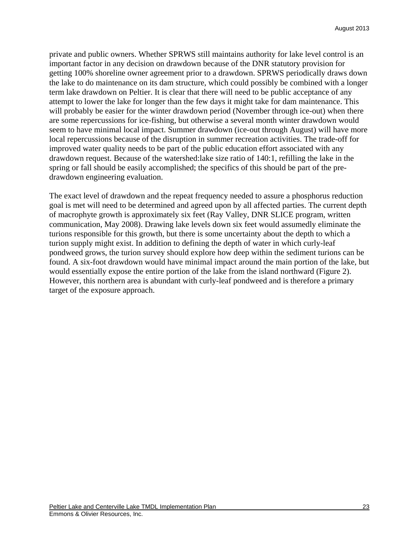private and public owners. Whether SPRWS still maintains authority for lake level control is an important factor in any decision on drawdown because of the DNR statutory provision for getting 100% shoreline owner agreement prior to a drawdown. SPRWS periodically draws down the lake to do maintenance on its dam structure, which could possibly be combined with a longer term lake drawdown on Peltier. It is clear that there will need to be public acceptance of any attempt to lower the lake for longer than the few days it might take for dam maintenance. This will probably be easier for the winter drawdown period (November through ice-out) when there are some repercussions for ice-fishing, but otherwise a several month winter drawdown would seem to have minimal local impact. Summer drawdown (ice-out through August) will have more local repercussions because of the disruption in summer recreation activities. The trade-off for improved water quality needs to be part of the public education effort associated with any drawdown request. Because of the watershed:lake size ratio of 140:1, refilling the lake in the spring or fall should be easily accomplished; the specifics of this should be part of the predrawdown engineering evaluation.

The exact level of drawdown and the repeat frequency needed to assure a phosphorus reduction goal is met will need to be determined and agreed upon by all affected parties. The current depth of macrophyte growth is approximately six feet (Ray Valley, DNR SLICE program, written communication, May 2008). Drawing lake levels down six feet would assumedly eliminate the turions responsible for this growth, but there is some uncertainty about the depth to which a turion supply might exist. In addition to defining the depth of water in which curly-leaf pondweed grows, the turion survey should explore how deep within the sediment turions can be found. A six-foot drawdown would have minimal impact around the main portion of the lake, but would essentially expose the entire portion of the lake from the island northward (Figure 2). However, this northern area is abundant with curly-leaf pondweed and is therefore a primary target of the exposure approach.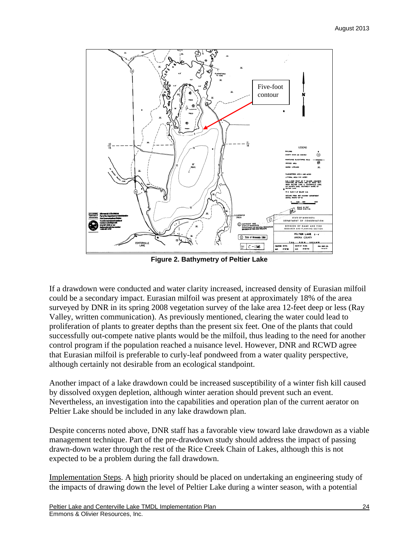

**Figure 2. Bathymetry of Peltier Lake** 

If a drawdown were conducted and water clarity increased, increased density of Eurasian milfoil could be a secondary impact. Eurasian milfoil was present at approximately 18% of the area surveyed by DNR in its spring 2008 vegetation survey of the lake area 12-feet deep or less (Ray Valley, written communication). As previously mentioned, clearing the water could lead to proliferation of plants to greater depths than the present six feet. One of the plants that could successfully out-compete native plants would be the milfoil, thus leading to the need for another control program if the population reached a nuisance level. However, DNR and RCWD agree that Eurasian milfoil is preferable to curly-leaf pondweed from a water quality perspective, although certainly not desirable from an ecological standpoint.

Another impact of a lake drawdown could be increased susceptibility of a winter fish kill caused by dissolved oxygen depletion, although winter aeration should prevent such an event. Nevertheless, an investigation into the capabilities and operation plan of the current aerator on Peltier Lake should be included in any lake drawdown plan.

Despite concerns noted above, DNR staff has a favorable view toward lake drawdown as a viable management technique. Part of the pre-drawdown study should address the impact of passing drawn-down water through the rest of the Rice Creek Chain of Lakes, although this is not expected to be a problem during the fall drawdown.

Implementation Steps. A high priority should be placed on undertaking an engineering study of the impacts of drawing down the level of Peltier Lake during a winter season, with a potential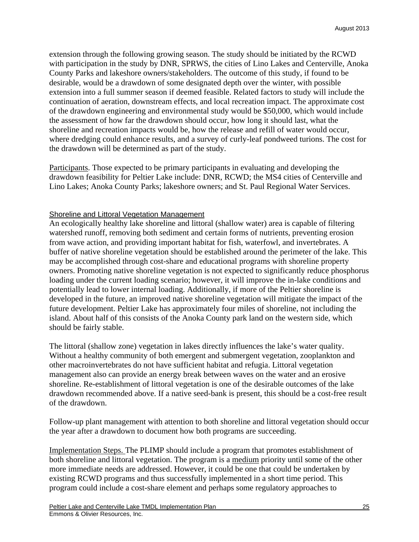extension through the following growing season. The study should be initiated by the RCWD with participation in the study by DNR, SPRWS, the cities of Lino Lakes and Centerville, Anoka County Parks and lakeshore owners/stakeholders. The outcome of this study, if found to be desirable, would be a drawdown of some designated depth over the winter, with possible extension into a full summer season if deemed feasible. Related factors to study will include the continuation of aeration, downstream effects, and local recreation impact. The approximate cost of the drawdown engineering and environmental study would be \$50,000, which would include the assessment of how far the drawdown should occur, how long it should last, what the shoreline and recreation impacts would be, how the release and refill of water would occur, where dredging could enhance results, and a survey of curly-leaf pondweed turions. The cost for the drawdown will be determined as part of the study.

Participants. Those expected to be primary participants in evaluating and developing the drawdown feasibility for Peltier Lake include: DNR, RCWD; the MS4 cities of Centerville and Lino Lakes; Anoka County Parks; lakeshore owners; and St. Paul Regional Water Services.

## Shoreline and Littoral Vegetation Management

An ecologically healthy lake shoreline and littoral (shallow water) area is capable of filtering watershed runoff, removing both sediment and certain forms of nutrients, preventing erosion from wave action, and providing important habitat for fish, waterfowl, and invertebrates. A buffer of native shoreline vegetation should be established around the perimeter of the lake. This may be accomplished through cost-share and educational programs with shoreline property owners. Promoting native shoreline vegetation is not expected to significantly reduce phosphorus loading under the current loading scenario; however, it will improve the in-lake conditions and potentially lead to lower internal loading. Additionally, if more of the Peltier shoreline is developed in the future, an improved native shoreline vegetation will mitigate the impact of the future development. Peltier Lake has approximately four miles of shoreline, not including the island. About half of this consists of the Anoka County park land on the western side, which should be fairly stable.

The littoral (shallow zone) vegetation in lakes directly influences the lake's water quality. Without a healthy community of both emergent and submergent vegetation, zooplankton and other macroinvertebrates do not have sufficient habitat and refugia. Littoral vegetation management also can provide an energy break between waves on the water and an erosive shoreline. Re-establishment of littoral vegetation is one of the desirable outcomes of the lake drawdown recommended above. If a native seed-bank is present, this should be a cost-free result of the drawdown.

Follow-up plant management with attention to both shoreline and littoral vegetation should occur the year after a drawdown to document how both programs are succeeding.

Implementation Steps. The PLIMP should include a program that promotes establishment of both shoreline and littoral vegetation. The program is a medium priority until some of the other more immediate needs are addressed. However, it could be one that could be undertaken by existing RCWD programs and thus successfully implemented in a short time period. This program could include a cost-share element and perhaps some regulatory approaches to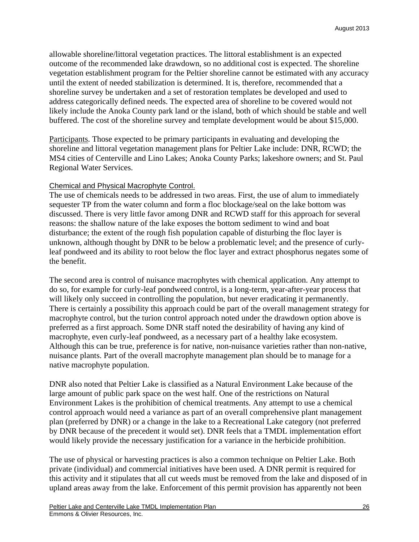allowable shoreline/littoral vegetation practices. The littoral establishment is an expected outcome of the recommended lake drawdown, so no additional cost is expected. The shoreline vegetation establishment program for the Peltier shoreline cannot be estimated with any accuracy until the extent of needed stabilization is determined. It is, therefore, recommended that a shoreline survey be undertaken and a set of restoration templates be developed and used to address categorically defined needs. The expected area of shoreline to be covered would not likely include the Anoka County park land or the island, both of which should be stable and well buffered. The cost of the shoreline survey and template development would be about \$15,000.

Participants. Those expected to be primary participants in evaluating and developing the shoreline and littoral vegetation management plans for Peltier Lake include: DNR, RCWD; the MS4 cities of Centerville and Lino Lakes; Anoka County Parks; lakeshore owners; and St. Paul Regional Water Services.

## Chemical and Physical Macrophyte Control.

The use of chemicals needs to be addressed in two areas. First, the use of alum to immediately sequester TP from the water column and form a floc blockage/seal on the lake bottom was discussed. There is very little favor among DNR and RCWD staff for this approach for several reasons: the shallow nature of the lake exposes the bottom sediment to wind and boat disturbance; the extent of the rough fish population capable of disturbing the floc layer is unknown, although thought by DNR to be below a problematic level; and the presence of curlyleaf pondweed and its ability to root below the floc layer and extract phosphorus negates some of the benefit.

The second area is control of nuisance macrophytes with chemical application. Any attempt to do so, for example for curly-leaf pondweed control, is a long-term, year-after-year process that will likely only succeed in controlling the population, but never eradicating it permanently. There is certainly a possibility this approach could be part of the overall management strategy for macrophyte control, but the turion control approach noted under the drawdown option above is preferred as a first approach. Some DNR staff noted the desirability of having any kind of macrophyte, even curly-leaf pondweed, as a necessary part of a healthy lake ecosystem. Although this can be true, preference is for native, non-nuisance varieties rather than non-native, nuisance plants. Part of the overall macrophyte management plan should be to manage for a native macrophyte population.

DNR also noted that Peltier Lake is classified as a Natural Environment Lake because of the large amount of public park space on the west half. One of the restrictions on Natural Environment Lakes is the prohibition of chemical treatments. Any attempt to use a chemical control approach would need a variance as part of an overall comprehensive plant management plan (preferred by DNR) or a change in the lake to a Recreational Lake category (not preferred by DNR because of the precedent it would set). DNR feels that a TMDL implementation effort would likely provide the necessary justification for a variance in the herbicide prohibition.

The use of physical or harvesting practices is also a common technique on Peltier Lake. Both private (individual) and commercial initiatives have been used. A DNR permit is required for this activity and it stipulates that all cut weeds must be removed from the lake and disposed of in upland areas away from the lake. Enforcement of this permit provision has apparently not been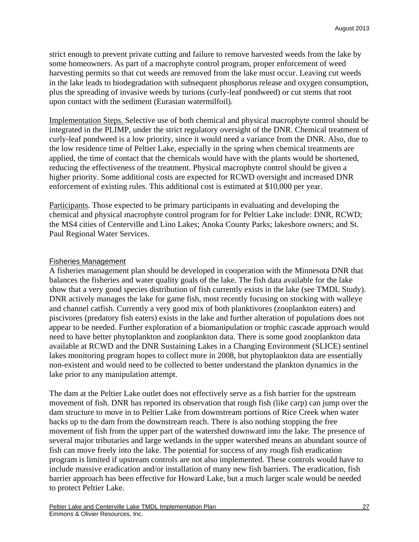strict enough to prevent private cutting and failure to remove harvested weeds from the lake by some homeowners. As part of a macrophyte control program, proper enforcement of weed harvesting permits so that cut weeds are removed from the lake must occur. Leaving cut weeds in the lake leads to biodegradation with subsequent phosphorus release and oxygen consumption, plus the spreading of invasive weeds by turions (curly-leaf pondweed) or cut stems that root upon contact with the sediment (Eurasian watermilfoil).

Implementation Steps. Selective use of both chemical and physical macrophyte control should be integrated in the PLIMP, under the strict regulatory oversight of the DNR. Chemical treatment of curly-leaf pondweed is a low priority, since it would need a variance from the DNR. Also, due to the low residence time of Peltier Lake, especially in the spring when chemical treatments are applied, the time of contact that the chemicals would have with the plants would be shortened, reducing the effectiveness of the treatment. Physical macrophyte control should be given a higher priority. Some additional costs are expected for RCWD oversight and increased DNR enforcement of existing rules. This additional cost is estimated at \$10,000 per year.

Participants. Those expected to be primary participants in evaluating and developing the chemical and physical macrophyte control program for for Peltier Lake include: DNR, RCWD; the MS4 cities of Centerville and Lino Lakes; Anoka County Parks; lakeshore owners; and St. Paul Regional Water Services.

#### Fisheries Management

A fisheries management plan should be developed in cooperation with the Minnesota DNR that balances the fisheries and water quality goals of the lake. The fish data available for the lake show that a very good species distribution of fish currently exists in the lake (see TMDL Study). DNR actively manages the lake for game fish, most recently focusing on stocking with walleye and channel catfish. Currently a very good mix of both planktivores (zooplankton eaters) and piscivores (predatory fish eaters) exists in the lake and further alteration of populations does not appear to be needed. Further exploration of a biomanipulation or trophic cascade approach would need to have better phytoplankton and zooplankton data. There is some good zooplankton data available at RCWD and the DNR Sustaining Lakes in a Changing Environment (SLICE) sentinel lakes monitoring program hopes to collect more in 2008, but phytoplankton data are essentially non-existent and would need to be collected to better understand the plankton dynamics in the lake prior to any manipulation attempt.

The dam at the Peltier Lake outlet does not effectively serve as a fish barrier for the upstream movement of fish. DNR has reported its observation that rough fish (like carp) can jump over the dam structure to move in to Peltier Lake from downstream portions of Rice Creek when water backs up to the dam from the downstream reach. There is also nothing stopping the free movement of fish from the upper part of the watershed downward into the lake. The presence of several major tributaries and large wetlands in the upper watershed means an abundant source of fish can move freely into the lake. The potential for success of any rough fish eradication program is limited if upstream controls are not also implemented. These controls would have to include massive eradication and/or installation of many new fish barriers. The eradication, fish barrier approach has been effective for Howard Lake, but a much larger scale would be needed to protect Peltier Lake.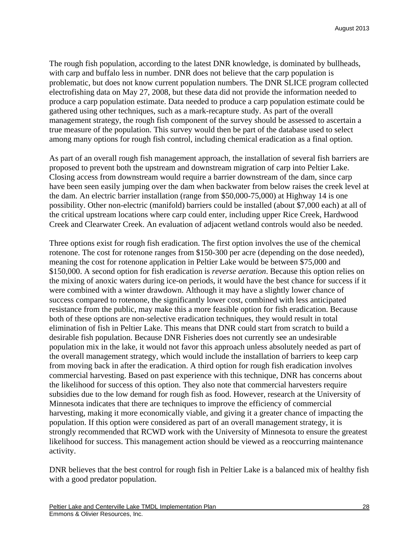The rough fish population, according to the latest DNR knowledge, is dominated by bullheads, with carp and buffalo less in number. DNR does not believe that the carp population is problematic, but does not know current population numbers. The DNR SLICE program collected electrofishing data on May 27, 2008, but these data did not provide the information needed to produce a carp population estimate. Data needed to produce a carp population estimate could be gathered using other techniques, such as a mark-recapture study. As part of the overall management strategy, the rough fish component of the survey should be assessed to ascertain a true measure of the population. This survey would then be part of the database used to select among many options for rough fish control, including chemical eradication as a final option.

As part of an overall rough fish management approach, the installation of several fish barriers are proposed to prevent both the upstream and downstream migration of carp into Peltier Lake. Closing access from downstream would require a barrier downstream of the dam, since carp have been seen easily jumping over the dam when backwater from below raises the creek level at the dam. An electric barrier installation (range from \$50,000-75,000) at Highway 14 is one possibility. Other non-electric (manifold) barriers could be installed (about \$7,000 each) at all of the critical upstream locations where carp could enter, including upper Rice Creek, Hardwood Creek and Clearwater Creek. An evaluation of adjacent wetland controls would also be needed.

Three options exist for rough fish eradication. The first option involves the use of the chemical rotenone. The cost for rotenone ranges from \$150-300 per acre (depending on the dose needed), meaning the cost for rotenone application in Peltier Lake would be between \$75,000 and \$150,000. A second option for fish eradication is *reverse aeration*. Because this option relies on the mixing of anoxic waters during ice-on periods, it would have the best chance for success if it were combined with a winter drawdown. Although it may have a slightly lower chance of success compared to rotenone, the significantly lower cost, combined with less anticipated resistance from the public, may make this a more feasible option for fish eradication. Because both of these options are non-selective eradication techniques, they would result in total elimination of fish in Peltier Lake. This means that DNR could start from scratch to build a desirable fish population. Because DNR Fisheries does not currently see an undesirable population mix in the lake, it would not favor this approach unless absolutely needed as part of the overall management strategy, which would include the installation of barriers to keep carp from moving back in after the eradication. A third option for rough fish eradication involves commercial harvesting. Based on past experience with this technique, DNR has concerns about the likelihood for success of this option. They also note that commercial harvesters require subsidies due to the low demand for rough fish as food. However, research at the University of Minnesota indicates that there are techniques to improve the efficiency of commercial harvesting, making it more economically viable, and giving it a greater chance of impacting the population. If this option were considered as part of an overall management strategy, it is strongly recommended that RCWD work with the University of Minnesota to ensure the greatest likelihood for success. This management action should be viewed as a reoccurring maintenance activity.

DNR believes that the best control for rough fish in Peltier Lake is a balanced mix of healthy fish with a good predator population.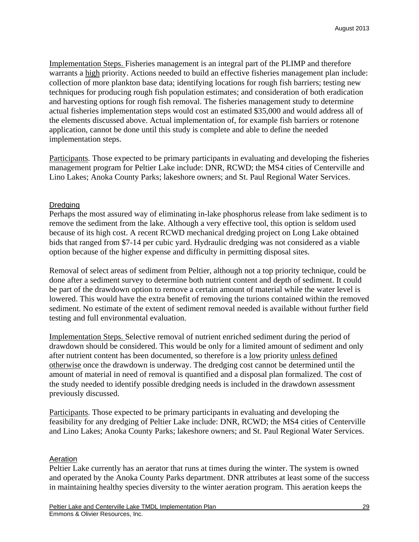Implementation Steps. Fisheries management is an integral part of the PLIMP and therefore warrants a high priority. Actions needed to build an effective fisheries management plan include: collection of more plankton base data; identifying locations for rough fish barriers; testing new techniques for producing rough fish population estimates; and consideration of both eradication and harvesting options for rough fish removal. The fisheries management study to determine actual fisheries implementation steps would cost an estimated \$35,000 and would address all of the elements discussed above. Actual implementation of, for example fish barriers or rotenone application, cannot be done until this study is complete and able to define the needed implementation steps.

Participants. Those expected to be primary participants in evaluating and developing the fisheries management program for Peltier Lake include: DNR, RCWD; the MS4 cities of Centerville and Lino Lakes; Anoka County Parks; lakeshore owners; and St. Paul Regional Water Services.

## **Dredging**

Perhaps the most assured way of eliminating in-lake phosphorus release from lake sediment is to remove the sediment from the lake. Although a very effective tool, this option is seldom used because of its high cost. A recent RCWD mechanical dredging project on Long Lake obtained bids that ranged from \$7-14 per cubic yard. Hydraulic dredging was not considered as a viable option because of the higher expense and difficulty in permitting disposal sites.

Removal of select areas of sediment from Peltier, although not a top priority technique, could be done after a sediment survey to determine both nutrient content and depth of sediment. It could be part of the drawdown option to remove a certain amount of material while the water level is lowered. This would have the extra benefit of removing the turions contained within the removed sediment. No estimate of the extent of sediment removal needed is available without further field testing and full environmental evaluation.

Implementation Steps. Selective removal of nutrient enriched sediment during the period of drawdown should be considered. This would be only for a limited amount of sediment and only after nutrient content has been documented, so therefore is a low priority unless defined otherwise once the drawdown is underway. The dredging cost cannot be determined until the amount of material in need of removal is quantified and a disposal plan formalized. The cost of the study needed to identify possible dredging needs is included in the drawdown assessment previously discussed.

Participants. Those expected to be primary participants in evaluating and developing the feasibility for any dredging of Peltier Lake include: DNR, RCWD; the MS4 cities of Centerville and Lino Lakes; Anoka County Parks; lakeshore owners; and St. Paul Regional Water Services.

## **Aeration**

Peltier Lake currently has an aerator that runs at times during the winter. The system is owned and operated by the Anoka County Parks department. DNR attributes at least some of the success in maintaining healthy species diversity to the winter aeration program. This aeration keeps the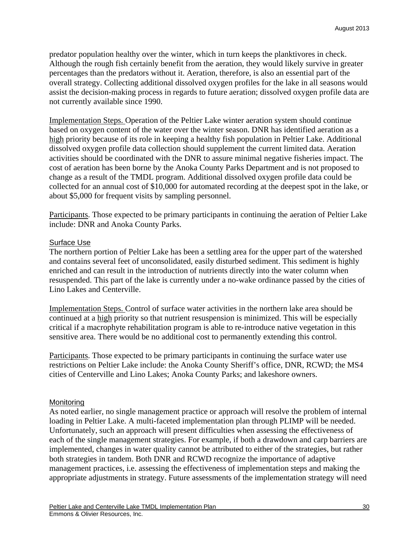predator population healthy over the winter, which in turn keeps the planktivores in check. Although the rough fish certainly benefit from the aeration, they would likely survive in greater percentages than the predators without it. Aeration, therefore, is also an essential part of the overall strategy. Collecting additional dissolved oxygen profiles for the lake in all seasons would assist the decision-making process in regards to future aeration; dissolved oxygen profile data are not currently available since 1990.

Implementation Steps. Operation of the Peltier Lake winter aeration system should continue based on oxygen content of the water over the winter season. DNR has identified aeration as a high priority because of its role in keeping a healthy fish population in Peltier Lake. Additional dissolved oxygen profile data collection should supplement the current limited data. Aeration activities should be coordinated with the DNR to assure minimal negative fisheries impact. The cost of aeration has been borne by the Anoka County Parks Department and is not proposed to change as a result of the TMDL program. Additional dissolved oxygen profile data could be collected for an annual cost of \$10,000 for automated recording at the deepest spot in the lake, or about \$5,000 for frequent visits by sampling personnel.

Participants. Those expected to be primary participants in continuing the aeration of Peltier Lake include: DNR and Anoka County Parks.

#### **Surface Use**

The northern portion of Peltier Lake has been a settling area for the upper part of the watershed and contains several feet of unconsolidated, easily disturbed sediment. This sediment is highly enriched and can result in the introduction of nutrients directly into the water column when resuspended. This part of the lake is currently under a no-wake ordinance passed by the cities of Lino Lakes and Centerville.

Implementation Steps. Control of surface water activities in the northern lake area should be continued at a high priority so that nutrient resuspension is minimized. This will be especially critical if a macrophyte rehabilitation program is able to re-introduce native vegetation in this sensitive area. There would be no additional cost to permanently extending this control.

Participants. Those expected to be primary participants in continuing the surface water use restrictions on Peltier Lake include: the Anoka County Sheriff's office, DNR, RCWD; the MS4 cities of Centerville and Lino Lakes; Anoka County Parks; and lakeshore owners.

#### Monitoring

As noted earlier, no single management practice or approach will resolve the problem of internal loading in Peltier Lake. A multi-faceted implementation plan through PLIMP will be needed. Unfortunately, such an approach will present difficulties when assessing the effectiveness of each of the single management strategies. For example, if both a drawdown and carp barriers are implemented, changes in water quality cannot be attributed to either of the strategies, but rather both strategies in tandem. Both DNR and RCWD recognize the importance of adaptive management practices, i.e. assessing the effectiveness of implementation steps and making the appropriate adjustments in strategy. Future assessments of the implementation strategy will need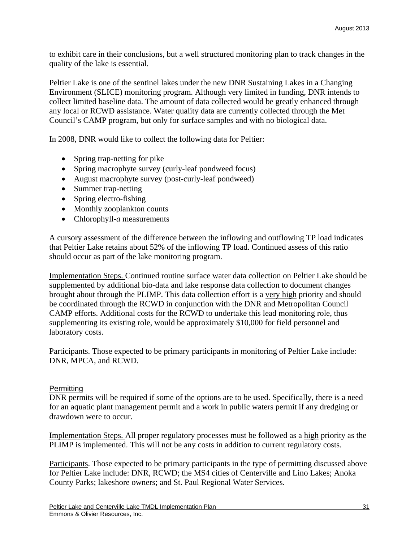to exhibit care in their conclusions, but a well structured monitoring plan to track changes in the quality of the lake is essential.

Peltier Lake is one of the sentinel lakes under the new DNR Sustaining Lakes in a Changing Environment (SLICE) monitoring program. Although very limited in funding, DNR intends to collect limited baseline data. The amount of data collected would be greatly enhanced through any local or RCWD assistance. Water quality data are currently collected through the Met Council's CAMP program, but only for surface samples and with no biological data.

In 2008, DNR would like to collect the following data for Peltier:

- Spring trap-netting for pike
- Spring macrophyte survey (curly-leaf pondweed focus)
- August macrophyte survey (post-curly-leaf pondweed)
- Summer trap-netting
- Spring electro-fishing
- Monthly zooplankton counts
- Chlorophyll-*a* measurements

A cursory assessment of the difference between the inflowing and outflowing TP load indicates that Peltier Lake retains about 52% of the inflowing TP load. Continued assess of this ratio should occur as part of the lake monitoring program.

Implementation Steps. Continued routine surface water data collection on Peltier Lake should be supplemented by additional bio-data and lake response data collection to document changes brought about through the PLIMP. This data collection effort is a very high priority and should be coordinated through the RCWD in conjunction with the DNR and Metropolitan Council CAMP efforts. Additional costs for the RCWD to undertake this lead monitoring role, thus supplementing its existing role, would be approximately \$10,000 for field personnel and laboratory costs.

Participants. Those expected to be primary participants in monitoring of Peltier Lake include: DNR, MPCA, and RCWD.

#### **Permitting**

DNR permits will be required if some of the options are to be used. Specifically, there is a need for an aquatic plant management permit and a work in public waters permit if any dredging or drawdown were to occur.

Implementation Steps. All proper regulatory processes must be followed as a high priority as the PLIMP is implemented. This will not be any costs in addition to current regulatory costs.

Participants. Those expected to be primary participants in the type of permitting discussed above for Peltier Lake include: DNR, RCWD; the MS4 cities of Centerville and Lino Lakes; Anoka County Parks; lakeshore owners; and St. Paul Regional Water Services.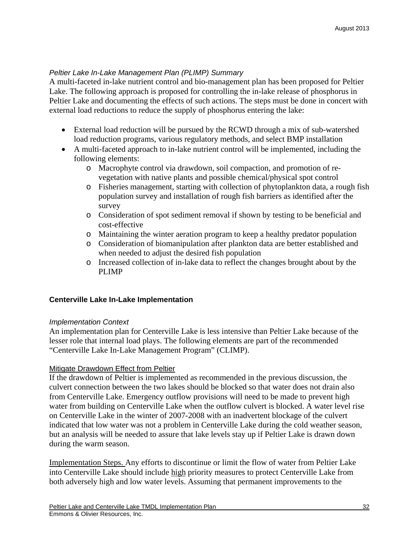### *Peltier Lake In-Lake Management Plan (PLIMP) Summary*

A multi-faceted in-lake nutrient control and bio-management plan has been proposed for Peltier Lake. The following approach is proposed for controlling the in-lake release of phosphorus in Peltier Lake and documenting the effects of such actions. The steps must be done in concert with external load reductions to reduce the supply of phosphorus entering the lake:

- External load reduction will be pursued by the RCWD through a mix of sub-watershed load reduction programs, various regulatory methods, and select BMP installation
- A multi-faceted approach to in-lake nutrient control will be implemented, including the following elements:
	- o Macrophyte control via drawdown, soil compaction, and promotion of revegetation with native plants and possible chemical/physical spot control
	- o Fisheries management, starting with collection of phytoplankton data, a rough fish population survey and installation of rough fish barriers as identified after the survey
	- o Consideration of spot sediment removal if shown by testing to be beneficial and cost-effective
	- o Maintaining the winter aeration program to keep a healthy predator population
	- o Consideration of biomanipulation after plankton data are better established and when needed to adjust the desired fish population
	- o Increased collection of in-lake data to reflect the changes brought about by the PLIMP

## **Centerville Lake In-Lake Implementation**

#### *Implementation Context*

An implementation plan for Centerville Lake is less intensive than Peltier Lake because of the lesser role that internal load plays. The following elements are part of the recommended "Centerville Lake In-Lake Management Program" (CLIMP).

## **Mitigate Drawdown Effect from Peltier**

If the drawdown of Peltier is implemented as recommended in the previous discussion, the culvert connection between the two lakes should be blocked so that water does not drain also from Centerville Lake. Emergency outflow provisions will need to be made to prevent high water from building on Centerville Lake when the outflow culvert is blocked. A water level rise on Centerville Lake in the winter of 2007-2008 with an inadvertent blockage of the culvert indicated that low water was not a problem in Centerville Lake during the cold weather season, but an analysis will be needed to assure that lake levels stay up if Peltier Lake is drawn down during the warm season.

Implementation Steps. Any efforts to discontinue or limit the flow of water from Peltier Lake into Centerville Lake should include high priority measures to protect Centerville Lake from both adversely high and low water levels. Assuming that permanent improvements to the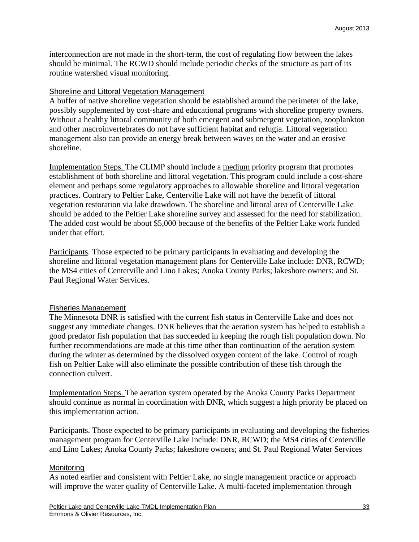interconnection are not made in the short-term, the cost of regulating flow between the lakes should be minimal. The RCWD should include periodic checks of the structure as part of its routine watershed visual monitoring.

#### Shoreline and Littoral Vegetation Management

A buffer of native shoreline vegetation should be established around the perimeter of the lake, possibly supplemented by cost-share and educational programs with shoreline property owners. Without a healthy littoral community of both emergent and submergent vegetation, zooplankton and other macroinvertebrates do not have sufficient habitat and refugia. Littoral vegetation management also can provide an energy break between waves on the water and an erosive shoreline.

Implementation Steps. The CLIMP should include a medium priority program that promotes establishment of both shoreline and littoral vegetation. This program could include a cost-share element and perhaps some regulatory approaches to allowable shoreline and littoral vegetation practices. Contrary to Peltier Lake, Centerville Lake will not have the benefit of littoral vegetation restoration via lake drawdown. The shoreline and littoral area of Centerville Lake should be added to the Peltier Lake shoreline survey and assessed for the need for stabilization. The added cost would be about \$5,000 because of the benefits of the Peltier Lake work funded under that effort.

Participants. Those expected to be primary participants in evaluating and developing the shoreline and littoral vegetation management plans for Centerville Lake include: DNR, RCWD; the MS4 cities of Centerville and Lino Lakes; Anoka County Parks; lakeshore owners; and St. Paul Regional Water Services.

#### Fisheries Management

The Minnesota DNR is satisfied with the current fish status in Centerville Lake and does not suggest any immediate changes. DNR believes that the aeration system has helped to establish a good predator fish population that has succeeded in keeping the rough fish population down. No further recommendations are made at this time other than continuation of the aeration system during the winter as determined by the dissolved oxygen content of the lake. Control of rough fish on Peltier Lake will also eliminate the possible contribution of these fish through the connection culvert.

Implementation Steps. The aeration system operated by the Anoka County Parks Department should continue as normal in coordination with DNR, which suggest a high priority be placed on this implementation action.

Participants. Those expected to be primary participants in evaluating and developing the fisheries management program for Centerville Lake include: DNR, RCWD; the MS4 cities of Centerville and Lino Lakes; Anoka County Parks; lakeshore owners; and St. Paul Regional Water Services

#### **Monitoring**

As noted earlier and consistent with Peltier Lake, no single management practice or approach will improve the water quality of Centerville Lake. A multi-faceted implementation through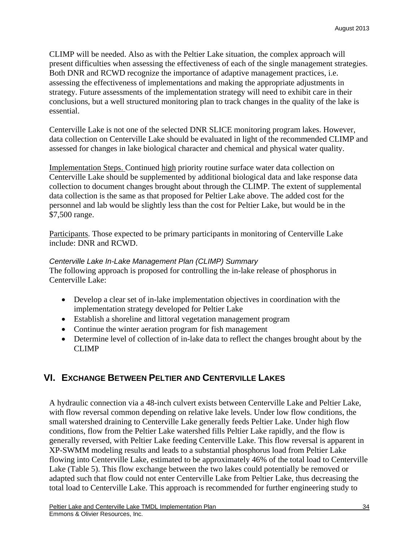CLIMP will be needed. Also as with the Peltier Lake situation, the complex approach will present difficulties when assessing the effectiveness of each of the single management strategies. Both DNR and RCWD recognize the importance of adaptive management practices, i.e. assessing the effectiveness of implementations and making the appropriate adjustments in strategy. Future assessments of the implementation strategy will need to exhibit care in their conclusions, but a well structured monitoring plan to track changes in the quality of the lake is essential.

Centerville Lake is not one of the selected DNR SLICE monitoring program lakes. However, data collection on Centerville Lake should be evaluated in light of the recommended CLIMP and assessed for changes in lake biological character and chemical and physical water quality.

Implementation Steps. Continued high priority routine surface water data collection on Centerville Lake should be supplemented by additional biological data and lake response data collection to document changes brought about through the CLIMP. The extent of supplemental data collection is the same as that proposed for Peltier Lake above. The added cost for the personnel and lab would be slightly less than the cost for Peltier Lake, but would be in the \$7,500 range.

Participants. Those expected to be primary participants in monitoring of Centerville Lake include: DNR and RCWD.

### *Centerville Lake In-Lake Management Plan (CLIMP) Summary*

The following approach is proposed for controlling the in-lake release of phosphorus in Centerville Lake:

- Develop a clear set of in-lake implementation objectives in coordination with the implementation strategy developed for Peltier Lake
- Establish a shoreline and littoral vegetation management program
- Continue the winter aeration program for fish management
- Determine level of collection of in-lake data to reflect the changes brought about by the CLIMP

## **VI. EXCHANGE BETWEEN PELTIER AND CENTERVILLE LAKES**

A hydraulic connection via a 48-inch culvert exists between Centerville Lake and Peltier Lake, with flow reversal common depending on relative lake levels. Under low flow conditions, the small watershed draining to Centerville Lake generally feeds Peltier Lake. Under high flow conditions, flow from the Peltier Lake watershed fills Peltier Lake rapidly, and the flow is generally reversed, with Peltier Lake feeding Centerville Lake. This flow reversal is apparent in XP-SWMM modeling results and leads to a substantial phosphorus load from Peltier Lake flowing into Centerville Lake, estimated to be approximately 46% of the total load to Centerville Lake (Table 5). This flow exchange between the two lakes could potentially be removed or adapted such that flow could not enter Centerville Lake from Peltier Lake, thus decreasing the total load to Centerville Lake. This approach is recommended for further engineering study to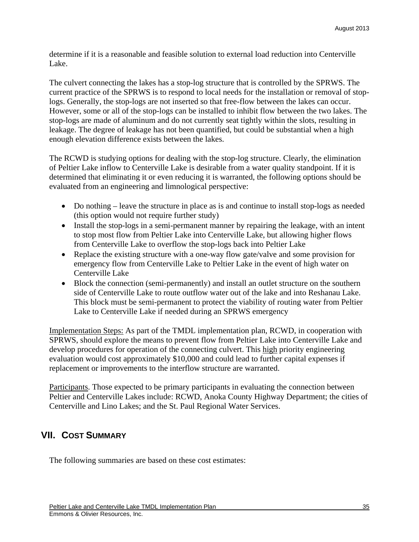determine if it is a reasonable and feasible solution to external load reduction into Centerville Lake.

The culvert connecting the lakes has a stop-log structure that is controlled by the SPRWS. The current practice of the SPRWS is to respond to local needs for the installation or removal of stoplogs. Generally, the stop-logs are not inserted so that free-flow between the lakes can occur. However, some or all of the stop-logs can be installed to inhibit flow between the two lakes. The stop-logs are made of aluminum and do not currently seat tightly within the slots, resulting in leakage. The degree of leakage has not been quantified, but could be substantial when a high enough elevation difference exists between the lakes.

The RCWD is studying options for dealing with the stop-log structure. Clearly, the elimination of Peltier Lake inflow to Centerville Lake is desirable from a water quality standpoint. If it is determined that eliminating it or even reducing it is warranted, the following options should be evaluated from an engineering and limnological perspective:

- Do nothing leave the structure in place as is and continue to install stop-logs as needed (this option would not require further study)
- Install the stop-logs in a semi-permanent manner by repairing the leakage, with an intent to stop most flow from Peltier Lake into Centerville Lake, but allowing higher flows from Centerville Lake to overflow the stop-logs back into Peltier Lake
- Replace the existing structure with a one-way flow gate/valve and some provision for emergency flow from Centerville Lake to Peltier Lake in the event of high water on Centerville Lake
- Block the connection (semi-permanently) and install an outlet structure on the southern side of Centerville Lake to route outflow water out of the lake and into Reshanau Lake. This block must be semi-permanent to protect the viability of routing water from Peltier Lake to Centerville Lake if needed during an SPRWS emergency

Implementation Steps: As part of the TMDL implementation plan, RCWD, in cooperation with SPRWS, should explore the means to prevent flow from Peltier Lake into Centerville Lake and develop procedures for operation of the connecting culvert. This high priority engineering evaluation would cost approximately \$10,000 and could lead to further capital expenses if replacement or improvements to the interflow structure are warranted.

Participants. Those expected to be primary participants in evaluating the connection between Peltier and Centerville Lakes include: RCWD, Anoka County Highway Department; the cities of Centerville and Lino Lakes; and the St. Paul Regional Water Services.

## **VII. COST SUMMARY**

The following summaries are based on these cost estimates: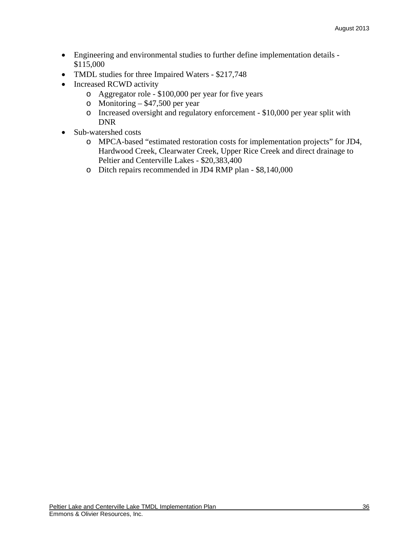- Engineering and environmental studies to further define implementation details \$115,000
- TMDL studies for three Impaired Waters \$217,748
- Increased RCWD activity
	- o Aggregator role \$100,000 per year for five years
	- o Monitoring  $$47,500$  per year
	- o Increased oversight and regulatory enforcement \$10,000 per year split with DNR
- Sub-watershed costs
	- o MPCA-based "estimated restoration costs for implementation projects" for JD4, Hardwood Creek, Clearwater Creek, Upper Rice Creek and direct drainage to Peltier and Centerville Lakes - \$20,383,400
	- o Ditch repairs recommended in JD4 RMP plan \$8,140,000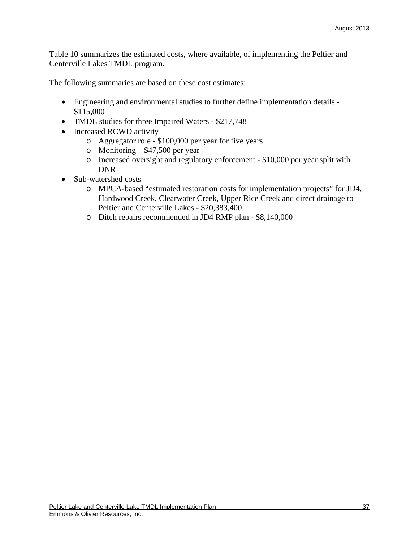Table 10 summarizes the estimated costs, where available, of implementing the Peltier and Centerville Lakes TMDL program.

The following summaries are based on these cost estimates:

- Engineering and environmental studies to further define implementation details \$115,000
- TMDL studies for three Impaired Waters \$217,748
- Increased RCWD activity
	- o Aggregator role \$100,000 per year for five years
	- o Monitoring  $-$  \$47,500 per year
	- o Increased oversight and regulatory enforcement \$10,000 per year split with DNR
- Sub-watershed costs
	- o MPCA-based "estimated restoration costs for implementation projects" for JD4, Hardwood Creek, Clearwater Creek, Upper Rice Creek and direct drainage to Peltier and Centerville Lakes - \$20,383,400
	- o Ditch repairs recommended in JD4 RMP plan \$8,140,000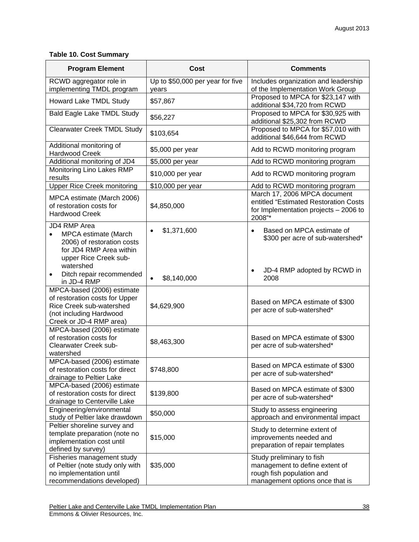## **Table 10. Cost Summary**

| <b>Program Element</b>                                                                                                                           | Cost                                      | <b>Comments</b>                                                                                                             |  |  |
|--------------------------------------------------------------------------------------------------------------------------------------------------|-------------------------------------------|-----------------------------------------------------------------------------------------------------------------------------|--|--|
| RCWD aggregator role in<br>implementing TMDL program                                                                                             | Up to \$50,000 per year for five<br>years | Includes organization and leadership<br>of the Implementation Work Group                                                    |  |  |
| Howard Lake TMDL Study                                                                                                                           | \$57,867                                  | Proposed to MPCA for \$23,147 with<br>additional \$34,720 from RCWD                                                         |  |  |
| <b>Bald Eagle Lake TMDL Study</b>                                                                                                                | \$56,227                                  | Proposed to MPCA for \$30,925 with<br>additional \$25,302 from RCWD                                                         |  |  |
| <b>Clearwater Creek TMDL Study</b>                                                                                                               | \$103,654                                 | Proposed to MPCA for \$57,010 with<br>additional \$46,644 from RCWD                                                         |  |  |
| Additional monitoring of<br>Hardwood Creek                                                                                                       | \$5,000 per year                          | Add to RCWD monitoring program                                                                                              |  |  |
| Additional monitoring of JD4                                                                                                                     | \$5,000 per year                          | Add to RCWD monitoring program                                                                                              |  |  |
| Monitoring Lino Lakes RMP<br>results                                                                                                             | \$10,000 per year                         | Add to RCWD monitoring program                                                                                              |  |  |
| <b>Upper Rice Creek monitoring</b>                                                                                                               | \$10,000 per year                         | Add to RCWD monitoring program                                                                                              |  |  |
| MPCA estimate (March 2006)<br>of restoration costs for<br><b>Hardwood Creek</b>                                                                  | \$4,850,000                               | March 17, 2006 MPCA document<br>entitled "Estimated Restoration Costs<br>for Implementation projects - 2006 to<br>2008"*    |  |  |
| JD4 RMP Area<br>MPCA estimate (March<br>$\bullet$<br>2006) of restoration costs<br>for JD4 RMP Area within<br>upper Rice Creek sub-<br>watershed | \$1,371,600<br>$\bullet$                  | Based on MPCA estimate of<br>$\bullet$<br>\$300 per acre of sub-watershed*                                                  |  |  |
| Ditch repair recommended<br>$\bullet$<br>in JD-4 RMP                                                                                             | \$8,140,000<br>$\bullet$                  | JD-4 RMP adopted by RCWD in<br>2008                                                                                         |  |  |
| MPCA-based (2006) estimate<br>of restoration costs for Upper<br>Rice Creek sub-watershed<br>(not including Hardwood<br>Creek or JD-4 RMP area)   | \$4,629,900                               | Based on MPCA estimate of \$300<br>per acre of sub-watershed*                                                               |  |  |
| MPCA-based (2006) estimate<br>of restoration costs for<br>Clearwater Creek sub-<br>watershed                                                     | \$8,463,300                               | Based on MPCA estimate of \$300<br>per acre of sub-watershed*                                                               |  |  |
| MPCA-based (2006) estimate<br>of restoration costs for direct<br>drainage to Peltier Lake                                                        | \$748,800                                 | Based on MPCA estimate of \$300<br>per acre of sub-watershed*                                                               |  |  |
| MPCA-based (2006) estimate<br>of restoration costs for direct<br>drainage to Centerville Lake                                                    | \$139,800                                 | Based on MPCA estimate of \$300<br>per acre of sub-watershed*                                                               |  |  |
| Engineering/environmental<br>study of Peltier lake drawdown                                                                                      | \$50,000                                  | Study to assess engineering<br>approach and environmental impact                                                            |  |  |
| Peltier shoreline survey and<br>template preparation (note no<br>implementation cost until<br>defined by survey)                                 | \$15,000                                  | Study to determine extent of<br>improvements needed and<br>preparation of repair templates                                  |  |  |
| Fisheries management study<br>of Peltier (note study only with<br>no implementation until<br>recommendations developed)                          | \$35,000                                  | Study preliminary to fish<br>management to define extent of<br>rough fish population and<br>management options once that is |  |  |